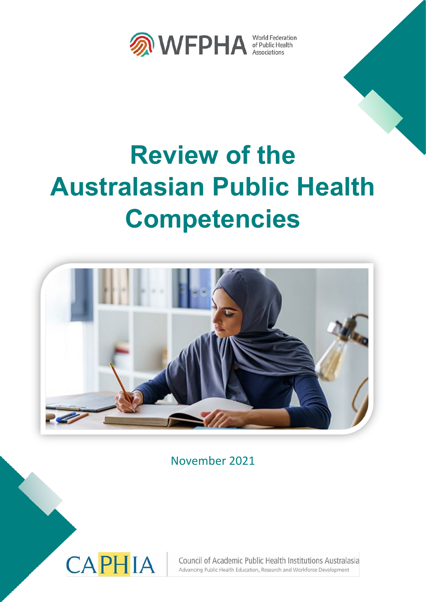

# **Review of the Australasian Public Health Competencies**



November 2021



Council of Academic Public Health Institutions Australasia Advancing Public Health Education, Research and Workforce Development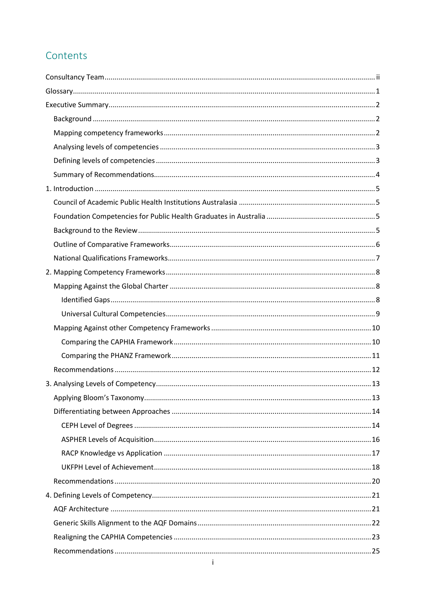# Contents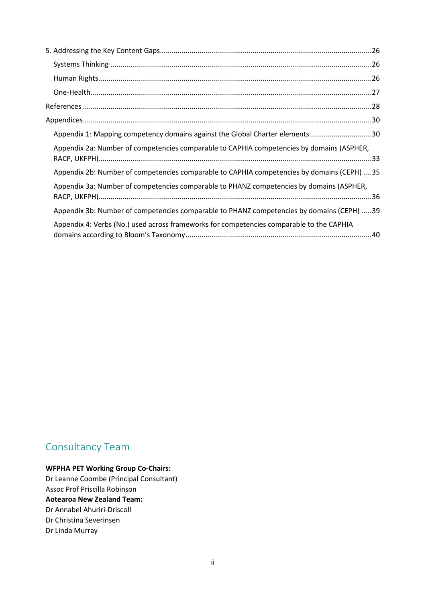| Appendix 1: Mapping competency domains against the Global Charter elements30                |
|---------------------------------------------------------------------------------------------|
| Appendix 2a: Number of competencies comparable to CAPHIA competencies by domains (ASPHER,   |
| Appendix 2b: Number of competencies comparable to CAPHIA competencies by domains (CEPH)  35 |
| Appendix 3a: Number of competencies comparable to PHANZ competencies by domains (ASPHER,    |
| Appendix 3b: Number of competencies comparable to PHANZ competencies by domains (CEPH) 39   |
| Appendix 4: Verbs (No.) used across frameworks for competencies comparable to the CAPHIA    |

# <span id="page-2-0"></span>Consultancy Team

# **WFPHA PET Working Group Co-Chairs:**

Dr Leanne Coombe (Principal Consultant) Assoc Prof Priscilla Robinson **Aotearoa New Zealand Team:** Dr Annabel Ahuriri-Driscoll Dr Christina Severinsen Dr Linda Murray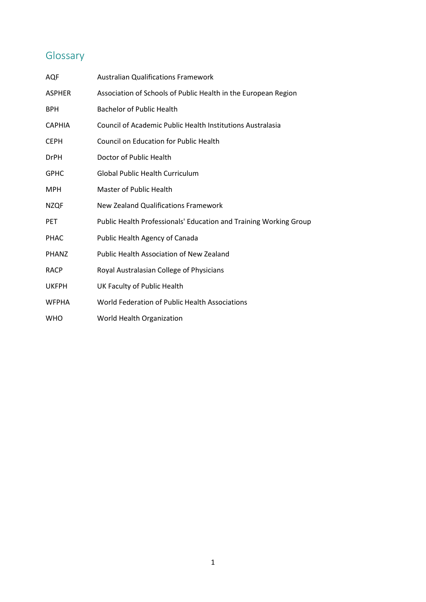# <span id="page-3-0"></span>Glossary

| AQF           | <b>Australian Qualifications Framework</b>                        |
|---------------|-------------------------------------------------------------------|
| ASPHER        | Association of Schools of Public Health in the European Region    |
| <b>BPH</b>    | <b>Bachelor of Public Health</b>                                  |
| <b>CAPHIA</b> | Council of Academic Public Health Institutions Australasia        |
| CEPH          | Council on Education for Public Health                            |
| <b>DrPH</b>   | Doctor of Public Health                                           |
| GPHC          | <b>Global Public Health Curriculum</b>                            |
| MPH           | Master of Public Health                                           |
| <b>NZQF</b>   | <b>New Zealand Qualifications Framework</b>                       |
| PET           | Public Health Professionals' Education and Training Working Group |
| <b>PHAC</b>   | Public Health Agency of Canada                                    |
| PHANZ         | Public Health Association of New Zealand                          |
| <b>RACP</b>   | Royal Australasian College of Physicians                          |
| <b>UKFPH</b>  | UK Faculty of Public Health                                       |
| <b>WFPHA</b>  | World Federation of Public Health Associations                    |
| WHO           | World Health Organization                                         |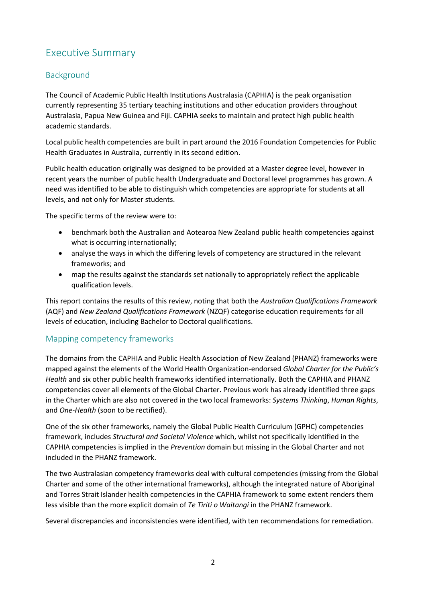# <span id="page-4-0"></span>Executive Summary

# <span id="page-4-1"></span>Background

The Council of Academic Public Health Institutions Australasia (CAPHIA) is the peak organisation currently representing 35 tertiary teaching institutions and other education providers throughout Australasia, Papua New Guinea and Fiji. CAPHIA seeks to maintain and protect high public health academic standards.

Local public health competencies are built in part around the 2016 Foundation Competencies for Public Health Graduates in Australia, currently in its second edition.

Public health education originally was designed to be provided at a Master degree level, however in recent years the number of public health Undergraduate and Doctoral level programmes has grown. A need was identified to be able to distinguish which competencies are appropriate for students at all levels, and not only for Master students.

The specific terms of the review were to:

- benchmark both the Australian and Aotearoa New Zealand public health competencies against what is occurring internationally;
- analyse the ways in which the differing levels of competency are structured in the relevant frameworks; and
- map the results against the standards set nationally to appropriately reflect the applicable qualification levels.

This report contains the results of this review, noting that both the *Australian Qualifications Framework* (AQF) and *New Zealand Qualifications Framework* (NZQF) categorise education requirements for all levels of education, including Bachelor to Doctoral qualifications.

## <span id="page-4-2"></span>Mapping competency frameworks

The domains from the CAPHIA and Public Health Association of New Zealand (PHANZ) frameworks were mapped against the elements of the World Health Organization-endorsed *Global Charter for the Public's Health* and six other public health frameworks identified internationally. Both the CAPHIA and PHANZ competencies cover all elements of the Global Charter. Previous work has already identified three gaps in the Charter which are also not covered in the two local frameworks: *Systems Thinking*, *Human Rights*, and *One-Health* (soon to be rectified).

One of the six other frameworks, namely the Global Public Health Curriculum (GPHC) competencies framework, includes *Structural and Societal Violence* which, whilst not specifically identified in the CAPHIA competencies is implied in the *Prevention* domain but missing in the Global Charter and not included in the PHANZ framework.

The two Australasian competency frameworks deal with cultural competencies (missing from the Global Charter and some of the other international frameworks), although the integrated nature of Aboriginal and Torres Strait Islander health competencies in the CAPHIA framework to some extent renders them less visible than the more explicit domain of *Te Tiriti o Waitangi* in the PHANZ framework.

Several discrepancies and inconsistencies were identified, with ten recommendations for remediation.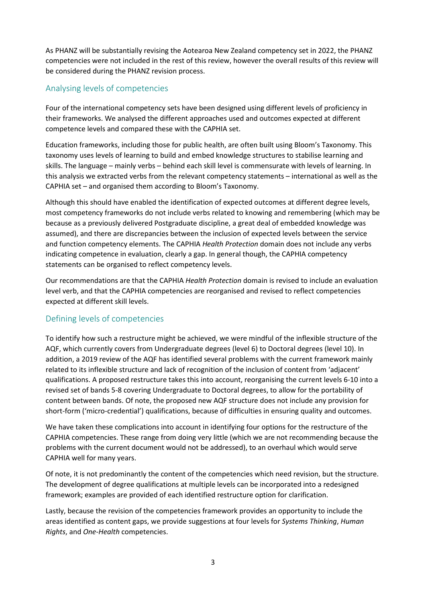As PHANZ will be substantially revising the Aotearoa New Zealand competency set in 2022, the PHANZ competencies were not included in the rest of this review, however the overall results of this review will be considered during the PHANZ revision process.

## <span id="page-5-0"></span>Analysing levels of competencies

Four of the international competency sets have been designed using different levels of proficiency in their frameworks. We analysed the different approaches used and outcomes expected at different competence levels and compared these with the CAPHIA set.

Education frameworks, including those for public health, are often built using Bloom's Taxonomy. This taxonomy uses levels of learning to build and embed knowledge structures to stabilise learning and skills. The language – mainly verbs – behind each skill level is commensurate with levels of learning. In this analysis we extracted verbs from the relevant competency statements – international as well as the CAPHIA set – and organised them according to Bloom's Taxonomy.

Although this should have enabled the identification of expected outcomes at different degree levels, most competency frameworks do not include verbs related to knowing and remembering (which may be because as a previously delivered Postgraduate discipline, a great deal of embedded knowledge was assumed), and there are discrepancies between the inclusion of expected levels between the service and function competency elements. The CAPHIA *Health Protection* domain does not include any verbs indicating competence in evaluation, clearly a gap. In general though, the CAPHIA competency statements can be organised to reflect competency levels.

Our recommendations are that the CAPHIA *Health Protection* domain is revised to include an evaluation level verb, and that the CAPHIA competencies are reorganised and revised to reflect competencies expected at different skill levels.

## <span id="page-5-1"></span>Defining levels of competencies

To identify how such a restructure might be achieved, we were mindful of the inflexible structure of the AQF, which currently covers from Undergraduate degrees (level 6) to Doctoral degrees (level 10). In addition, a 2019 review of the AQF has identified several problems with the current framework mainly related to its inflexible structure and lack of recognition of the inclusion of content from 'adjacent' qualifications. A proposed restructure takes this into account, reorganising the current levels 6-10 into a revised set of bands 5-8 covering Undergraduate to Doctoral degrees, to allow for the portability of content between bands. Of note, the proposed new AQF structure does not include any provision for short-form ('micro-credential') qualifications, because of difficulties in ensuring quality and outcomes.

We have taken these complications into account in identifying four options for the restructure of the CAPHIA competencies. These range from doing very little (which we are not recommending because the problems with the current document would not be addressed), to an overhaul which would serve CAPHIA well for many years.

Of note, it is not predominantly the content of the competencies which need revision, but the structure. The development of degree qualifications at multiple levels can be incorporated into a redesigned framework; examples are provided of each identified restructure option for clarification.

Lastly, because the revision of the competencies framework provides an opportunity to include the areas identified as content gaps, we provide suggestions at four levels for *Systems Thinking*, *Human Rights*, and *One-Health* competencies.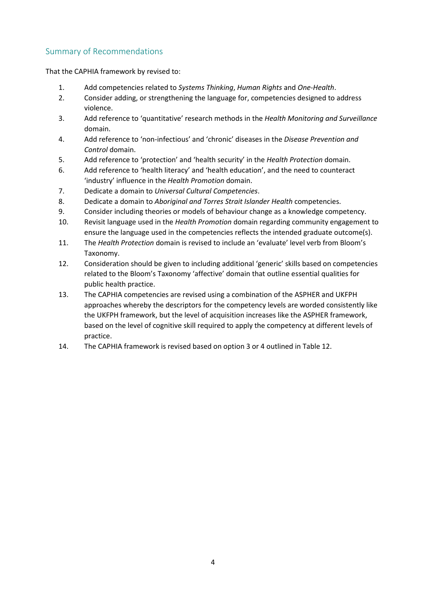# <span id="page-6-0"></span>Summary of Recommendations

That the CAPHIA framework by revised to:

- 1. Add competencies related to *Systems Thinking*, *Human Rights* and *One-Health*.
- 2. Consider adding, or strengthening the language for, competencies designed to address violence.
- 3. Add reference to 'quantitative' research methods in the *Health Monitoring and Surveillance* domain.
- 4. Add reference to 'non-infectious' and 'chronic' diseases in the *Disease Prevention and Control* domain.
- 5. Add reference to 'protection' and 'health security' in the *Health Protection* domain.
- 6. Add reference to 'health literacy' and 'health education', and the need to counteract 'industry' influence in the *Health Promotion* domain.
- 7. Dedicate a domain to *Universal Cultural Competencies*.
- 8. Dedicate a domain to *Aboriginal and Torres Strait Islander Health* competencies.
- 9. Consider including theories or models of behaviour change as a knowledge competency.
- 10. Revisit language used in the *Health Promotion* domain regarding community engagement to ensure the language used in the competencies reflects the intended graduate outcome(s).
- 11. The *Health Protection* domain is revised to include an 'evaluate' level verb from Bloom's Taxonomy.
- 12. Consideration should be given to including additional 'generic' skills based on competencies related to the Bloom's Taxonomy 'affective' domain that outline essential qualities for public health practice.
- 13. The CAPHIA competencies are revised using a combination of the ASPHER and UKFPH approaches whereby the descriptors for the competency levels are worded consistently like the UKFPH framework, but the level of acquisition increases like the ASPHER framework, based on the level of cognitive skill required to apply the competency at different levels of practice.
- 14. The CAPHIA framework is revised based on option 3 or 4 outlined in Table 12.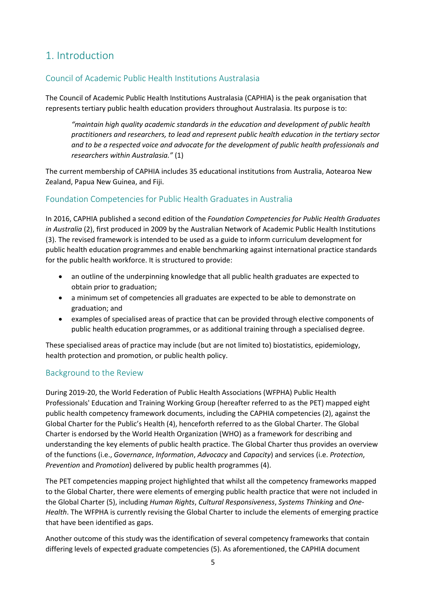# <span id="page-7-0"></span>1. Introduction

# <span id="page-7-1"></span>Council of Academic Public Health Institutions Australasia

The Council of Academic Public Health Institutions Australasia (CAPHIA) is the peak organisation that represents tertiary public health education providers throughout Australasia. Its purpose is to:

*"maintain high quality academic standards in the education and development of public health practitioners and researchers, to lead and represent public health education in the tertiary sector and to be a respected voice and advocate for the development of public health professionals and researchers within Australasia."* (1)

The current membership of CAPHIA includes 35 educational institutions from Australia, Aotearoa New Zealand, Papua New Guinea, and Fiji.

## <span id="page-7-2"></span>Foundation Competencies for Public Health Graduates in Australia

In 2016, CAPHIA published a second edition of the *Foundation Competencies for Public Health Graduates in Australia* (2), first produced in 2009 by the Australian Network of Academic Public Health Institutions (3). The revised framework is intended to be used as a guide to inform curriculum development for public health education programmes and enable benchmarking against international practice standards for the public health workforce. It is structured to provide:

- an outline of the underpinning knowledge that all public health graduates are expected to obtain prior to graduation;
- a minimum set of competencies all graduates are expected to be able to demonstrate on graduation; and
- examples of specialised areas of practice that can be provided through elective components of public health education programmes, or as additional training through a specialised degree.

These specialised areas of practice may include (but are not limited to) biostatistics, epidemiology, health protection and promotion, or public health policy.

# <span id="page-7-3"></span>Background to the Review

During 2019-20, the World Federation of Public Health Associations (WFPHA) Public Health Professionals' Education and Training Working Group (hereafter referred to as the PET) mapped eight public health competency framework documents, including the CAPHIA competencies (2), against the Global Charter for the Public's Health (4), henceforth referred to as the Global Charter. The Global Charter is endorsed by the World Health Organization (WHO) as a framework for describing and understanding the key elements of public health practice. The Global Charter thus provides an overview of the functions (i.e., *Governance*, *Information*, *Advocacy* and *Capacity*) and services (i.e. *Protection*, *Prevention* and *Promotion*) delivered by public health programmes (4).

The PET competencies mapping project highlighted that whilst all the competency frameworks mapped to the Global Charter, there were elements of emerging public health practice that were not included in the Global Charter (5), including *Human Rights*, *Cultural Responsiveness*, *Systems Thinking* and *One-Health*. The WFPHA is currently revising the Global Charter to include the elements of emerging practice that have been identified as gaps.

Another outcome of this study was the identification of several competency frameworks that contain differing levels of expected graduate competencies (5). As aforementioned, the CAPHIA document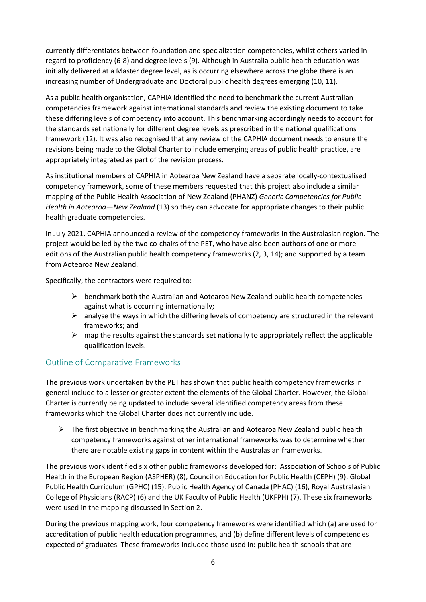currently differentiates between foundation and specialization competencies, whilst others varied in regard to proficiency (6-8) and degree levels (9). Although in Australia public health education was initially delivered at a Master degree level, as is occurring elsewhere across the globe there is an increasing number of Undergraduate and Doctoral public health degrees emerging (10, 11).

As a public health organisation, CAPHIA identified the need to benchmark the current Australian competencies framework against international standards and review the existing document to take these differing levels of competency into account. This benchmarking accordingly needs to account for the standards set nationally for different degree levels as prescribed in the national qualifications framework (12). It was also recognised that any review of the CAPHIA document needs to ensure the revisions being made to the Global Charter to include emerging areas of public health practice, are appropriately integrated as part of the revision process.

As institutional members of CAPHIA in Aotearoa New Zealand have a separate locally-contextualised competency framework, some of these members requested that this project also include a similar mapping of the Public Health Association of New Zealand (PHANZ) *Generic Competencies for Public Health in Aotearoa—New Zealand* (13) so they can advocate for appropriate changes to their public health graduate competencies.

In July 2021, CAPHIA announced a review of the competency frameworks in the Australasian region. The project would be led by the two co-chairs of the PET, who have also been authors of one or more editions of the Australian public health competency frameworks (2, 3, 14); and supported by a team from Aotearoa New Zealand.

Specifically, the contractors were required to:

- $\triangleright$  benchmark both the Australian and Aotearoa New Zealand public health competencies against what is occurring internationally;
- $\triangleright$  analyse the ways in which the differing levels of competency are structured in the relevant frameworks; and
- $\triangleright$  map the results against the standards set nationally to appropriately reflect the applicable qualification levels.

# <span id="page-8-0"></span>Outline of Comparative Frameworks

The previous work undertaken by the PET has shown that public health competency frameworks in general include to a lesser or greater extent the elements of the Global Charter. However, the Global Charter is currently being updated to include several identified competency areas from these frameworks which the Global Charter does not currently include.

 $\triangleright$  The first objective in benchmarking the Australian and Aotearoa New Zealand public health competency frameworks against other international frameworks was to determine whether there are notable existing gaps in content within the Australasian frameworks.

The previous work identified six other public frameworks developed for: Association of Schools of Public Health in the European Region (ASPHER) (8), Council on Education for Public Health (CEPH) (9), Global Public Health Curriculum (GPHC) (15), Public Health Agency of Canada (PHAC) (16), Royal Australasian College of Physicians (RACP) (6) and the UK Faculty of Public Health (UKFPH) (7). These six frameworks were used in the mapping discussed in Section 2.

During the previous mapping work, four competency frameworks were identified which (a) are used for accreditation of public health education programmes, and (b) define different levels of competencies expected of graduates. These frameworks included those used in: public health schools that are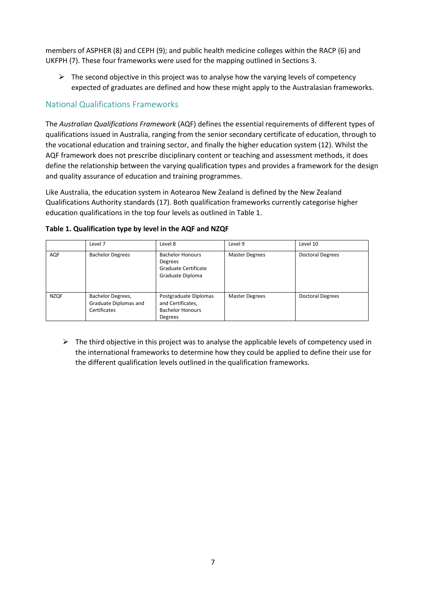members of ASPHER (8) and CEPH (9); and public health medicine colleges within the RACP (6) and UKFPH (7). These four frameworks were used for the mapping outlined in Sections 3.

 $\triangleright$  The second objective in this project was to analyse how the varying levels of competency expected of graduates are defined and how these might apply to the Australasian frameworks.

# <span id="page-9-0"></span>National Qualifications Frameworks

The *Australian Qualifications Framework* (AQF) defines the essential requirements of different types of qualifications issued in Australia, ranging from the senior secondary certificate of education, through to the vocational education and training sector, and finally the higher education system (12). Whilst the AQF framework does not prescribe disciplinary content or teaching and assessment methods, it does define the relationship between the varying qualification types and provides a framework for the design and quality assurance of education and training programmes.

Like Australia, the education system in Aotearoa New Zealand is defined by the New Zealand Qualifications Authority standards (17). Both qualification frameworks currently categorise higher education qualifications in the top four levels as outlined in Table 1.

|             | Level 7                                                    | Level 8                                                                          | Level 9               | Level 10                |
|-------------|------------------------------------------------------------|----------------------------------------------------------------------------------|-----------------------|-------------------------|
| AQF         | <b>Bachelor Degrees</b>                                    | <b>Bachelor Honours</b><br>Degrees<br>Graduate Certificate<br>Graduate Diploma   | <b>Master Degrees</b> | <b>Doctoral Degrees</b> |
| <b>NZQF</b> | Bachelor Degrees,<br>Graduate Diplomas and<br>Certificates | Postgraduate Diplomas<br>and Certificates,<br><b>Bachelor Honours</b><br>Degrees | <b>Master Degrees</b> | <b>Doctoral Degrees</b> |

#### **Table 1. Qualification type by level in the AQF and NZQF**

 $\triangleright$  The third objective in this project was to analyse the applicable levels of competency used in the international frameworks to determine how they could be applied to define their use for the different qualification levels outlined in the qualification frameworks.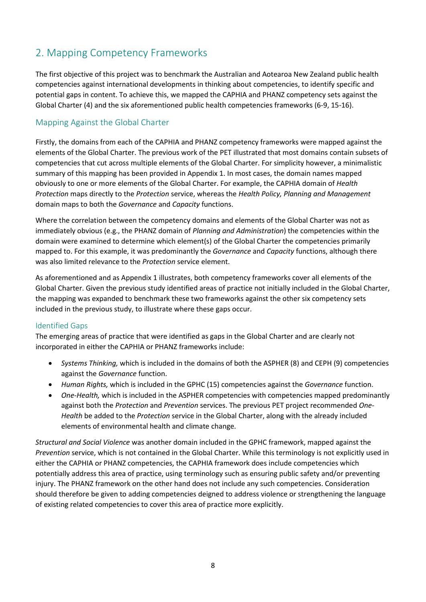# <span id="page-10-0"></span>2. Mapping Competency Frameworks

The first objective of this project was to benchmark the Australian and Aotearoa New Zealand public health competencies against international developments in thinking about competencies, to identify specific and potential gaps in content. To achieve this, we mapped the CAPHIA and PHANZ competency sets against the Global Charter (4) and the six aforementioned public health competencies frameworks (6-9, 15-16).

## <span id="page-10-1"></span>Mapping Against the Global Charter

Firstly, the domains from each of the CAPHIA and PHANZ competency frameworks were mapped against the elements of the Global Charter. The previous work of the PET illustrated that most domains contain subsets of competencies that cut across multiple elements of the Global Charter. For simplicity however, a minimalistic summary of this mapping has been provided in Appendix 1. In most cases, the domain names mapped obviously to one or more elements of the Global Charter. For example, the CAPHIA domain of *Health Protection* maps directly to the *Protection* service, whereas the *Health Policy, Planning and Management* domain maps to both the *Governance* and *Capacity* functions.

Where the correlation between the competency domains and elements of the Global Charter was not as immediately obvious (e.g., the PHANZ domain of *Planning and Administration*) the competencies within the domain were examined to determine which element(s) of the Global Charter the competencies primarily mapped to. For this example, it was predominantly the *Governance* and *Capacity* functions, although there was also limited relevance to the *Protection* service element.

As aforementioned and as Appendix 1 illustrates, both competency frameworks cover all elements of the Global Charter. Given the previous study identified areas of practice not initially included in the Global Charter, the mapping was expanded to benchmark these two frameworks against the other six competency sets included in the previous study, to illustrate where these gaps occur.

#### <span id="page-10-2"></span>Identified Gaps

The emerging areas of practice that were identified as gaps in the Global Charter and are clearly not incorporated in either the CAPHIA or PHANZ frameworks include:

- *Systems Thinking,* which is included in the domains of both the ASPHER (8) and CEPH (9) competencies against the *Governance* function.
- *Human Rights,* which is included in the GPHC (15) competencies against the *Governance* function.
- *One-Health,* which is included in the ASPHER competencies with competencies mapped predominantly against both the *Protection* and *Prevention* services. The previous PET project recommended *One-Health* be added to the *Protection* service in the Global Charter, along with the already included elements of environmental health and climate change.

*Structural and Social Violence* was another domain included in the GPHC framework, mapped against the *Prevention* service, which is not contained in the Global Charter. While this terminology is not explicitly used in either the CAPHIA or PHANZ competencies, the CAPHIA framework does include competencies which potentially address this area of practice, using terminology such as ensuring public safety and/or preventing injury. The PHANZ framework on the other hand does not include any such competencies. Consideration should therefore be given to adding competencies deigned to address violence or strengthening the language of existing related competencies to cover this area of practice more explicitly.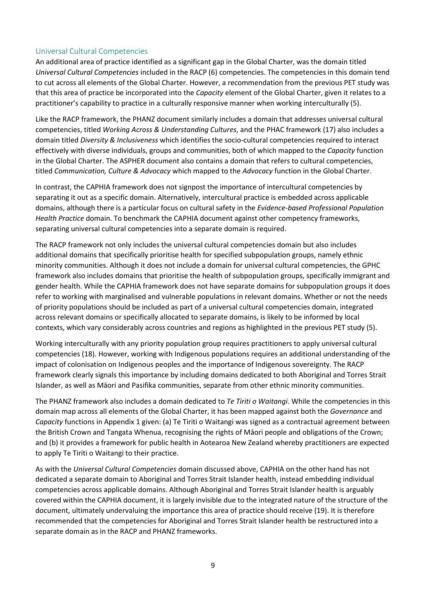#### <span id="page-11-0"></span>Universal Cultural Competencies

An additional area of practice identified as a significant gap in the Global Charter, was the domain titled *Universal Cultural Competencies* included in the RACP (6) competencies. The competencies in this domain tend to cut across all elements of the Global Charter. However, a recommendation from the previous PET study was that this area of practice be incorporated into the *Capacity* element of the Global Charter, given it relates to a practitioner's capability to practice in a culturally responsive manner when working interculturally (5).

Like the RACP framework, the PHANZ document similarly includes a domain that addresses universal cultural competencies, titled *Working Across & Understanding Cultures*, and the PHAC framework (17) also includes a domain titled *Diversity & Inclusiveness* which identifies the socio-cultural competencies required to interact effectively with diverse individuals, groups and communities, both of which mapped to the *Capacity* function in the Global Charter. The ASPHER document also contains a domain that refers to cultural competencies, titled *Communication, Culture & Advocacy* which mapped to the *Advocacy* function in the Global Charter.

In contrast, the CAPHIA framework does not signpost the importance of intercultural competencies by separating it out as a specific domain. Alternatively, intercultural practice is embedded across applicable domains, although there is a particular focus on cultural safety in the *Evidence-based Professional Population Health Practice* domain. To benchmark the CAPHIA document against other competency frameworks, separating universal cultural competencies into a separate domain is required.

The RACP framework not only includes the universal cultural competencies domain but also includes additional domains that specifically prioritise health for specified subpopulation groups, namely ethnic minority communities. Although it does not include a domain for universal cultural competencies, the GPHC framework also includes domains that prioritise the health of subpopulation groups, specifically immigrant and gender health. While the CAPHIA framework does not have separate domains for subpopulation groups it does refer to working with marginalised and vulnerable populations in relevant domains. Whether or not the needs of priority populations should be included as part of a universal cultural competencies domain, integrated across relevant domains or specifically allocated to separate domains, is likely to be informed by local contexts, which vary considerably across countries and regions as highlighted in the previous PET study (5).

Working interculturally with any priority population group requires practitioners to apply universal cultural competencies (18). However, working with Indigenous populations requires an additional understanding of the impact of colonisation on Indigenous peoples and the importance of Indigenous sovereignty. The RACP framework clearly signals this importance by including domains dedicated to both Aboriginal and Torres Strait Islander, as well as Māori and Pasifika communities, separate from other ethnic minority communities.

The PHANZ framework also includes a domain dedicated to *Te Tiriti o Waitangi*. While the competencies in this domain map across all elements of the Global Charter, it has been mapped against both the *Governance* and *Capacity* functions in Appendix 1 given: (a) Te Tiriti o Waitangi was signed as a contractual agreement between the British Crown and Tangata Whenua, recognising the rights of Māori people and obligations of the Crown; and (b) it provides a framework for public health in Aotearoa New Zealand whereby practitioners are expected to apply Te Tiriti o Waitangi to their practice.

As with the *Universal Cultural Competencies* domain discussed above, CAPHIA on the other hand has not dedicated a separate domain to Aboriginal and Torres Strait Islander health, instead embedding individual competencies across applicable domains. Although Aboriginal and Torres Strait Islander health is arguably covered within the CAPHIA document, it is largely invisible due to the integrated nature of the structure of the document, ultimately undervaluing the importance this area of practice should receive (19). It is therefore recommended that the competencies for Aboriginal and Torres Strait Islander health be restructured into a separate domain as in the RACP and PHANZ frameworks.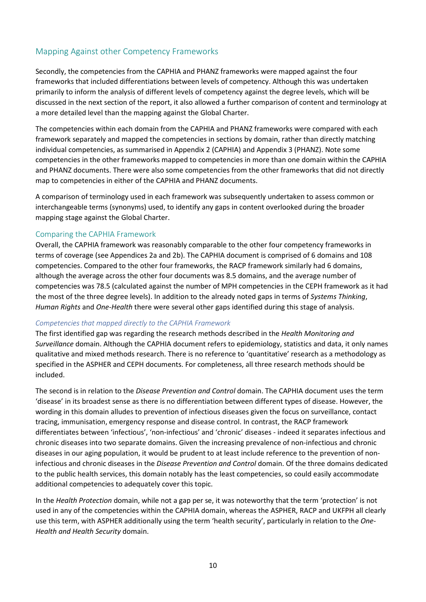# <span id="page-12-0"></span>Mapping Against other Competency Frameworks

Secondly, the competencies from the CAPHIA and PHANZ frameworks were mapped against the four frameworks that included differentiations between levels of competency. Although this was undertaken primarily to inform the analysis of different levels of competency against the degree levels, which will be discussed in the next section of the report, it also allowed a further comparison of content and terminology at a more detailed level than the mapping against the Global Charter.

The competencies within each domain from the CAPHIA and PHANZ frameworks were compared with each framework separately and mapped the competencies in sections by domain, rather than directly matching individual competencies, as summarised in Appendix 2 (CAPHIA) and Appendix 3 (PHANZ). Note some competencies in the other frameworks mapped to competencies in more than one domain within the CAPHIA and PHANZ documents. There were also some competencies from the other frameworks that did not directly map to competencies in either of the CAPHIA and PHANZ documents.

A comparison of terminology used in each framework was subsequently undertaken to assess common or interchangeable terms (synonyms) used, to identify any gaps in content overlooked during the broader mapping stage against the Global Charter.

#### <span id="page-12-1"></span>Comparing the CAPHIA Framework

Overall, the CAPHIA framework was reasonably comparable to the other four competency frameworks in terms of coverage (see Appendices 2a and 2b). The CAPHIA document is comprised of 6 domains and 108 competencies. Compared to the other four frameworks, the RACP framework similarly had 6 domains, although the average across the other four documents was 8.5 domains, and the average number of competencies was 78.5 (calculated against the number of MPH competencies in the CEPH framework as it had the most of the three degree levels). In addition to the already noted gaps in terms of *Systems Thinking*, *Human Rights* and *One-Health* there were several other gaps identified during this stage of analysis.

#### *Competencies that mapped directly to the CAPHIA Framework*

The first identified gap was regarding the research methods described in the *Health Monitoring and Surveillance* domain. Although the CAPHIA document refers to epidemiology, statistics and data, it only names qualitative and mixed methods research. There is no reference to 'quantitative' research as a methodology as specified in the ASPHER and CEPH documents. For completeness, all three research methods should be included.

The second is in relation to the *Disease Prevention and Control* domain. The CAPHIA document uses the term 'disease' in its broadest sense as there is no differentiation between different types of disease. However, the wording in this domain alludes to prevention of infectious diseases given the focus on surveillance, contact tracing, immunisation, emergency response and disease control. In contrast, the RACP framework differentiates between 'infectious', 'non-infectious' and 'chronic' diseases - indeed it separates infectious and chronic diseases into two separate domains. Given the increasing prevalence of non-infectious and chronic diseases in our aging population, it would be prudent to at least include reference to the prevention of noninfectious and chronic diseases in the *Disease Prevention and Control* domain. Of the three domains dedicated to the public health services, this domain notably has the least competencies, so could easily accommodate additional competencies to adequately cover this topic.

In the *Health Protection* domain, while not a gap per se, it was noteworthy that the term 'protection' is not used in any of the competencies within the CAPHIA domain, whereas the ASPHER, RACP and UKFPH all clearly use this term, with ASPHER additionally using the term 'health security', particularly in relation to the *One-Health and Health Security* domain.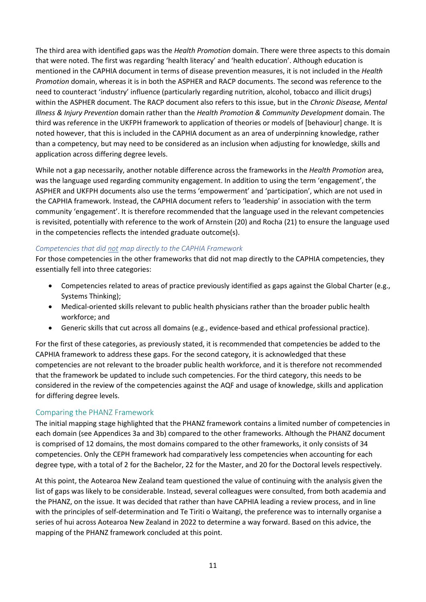The third area with identified gaps was the *Health Promotion* domain. There were three aspects to this domain that were noted. The first was regarding 'health literacy' and 'health education'. Although education is mentioned in the CAPHIA document in terms of disease prevention measures, it is not included in the *Health Promotion* domain, whereas it is in both the ASPHER and RACP documents. The second was reference to the need to counteract 'industry' influence (particularly regarding nutrition, alcohol, tobacco and illicit drugs) within the ASPHER document. The RACP document also refers to this issue, but in the *Chronic Disease, Mental Illness & Injury Prevention* domain rather than the *Health Promotion & Community Development* domain. The third was reference in the UKFPH framework to application of theories or models of [behaviour] change. It is noted however, that this is included in the CAPHIA document as an area of underpinning knowledge, rather than a competency, but may need to be considered as an inclusion when adjusting for knowledge, skills and application across differing degree levels.

While not a gap necessarily, another notable difference across the frameworks in the *Health Promotion* area, was the language used regarding community engagement. In addition to using the term 'engagement', the ASPHER and UKFPH documents also use the terms 'empowerment' and 'participation', which are not used in the CAPHIA framework. Instead, the CAPHIA document refers to 'leadership' in association with the term community 'engagement'. It is therefore recommended that the language used in the relevant competencies is revisited, potentially with reference to the work of Arnstein (20) and Rocha (21) to ensure the language used in the competencies reflects the intended graduate outcome(s).

#### *Competencies that did not map directly to the CAPHIA Framework*

For those competencies in the other frameworks that did not map directly to the CAPHIA competencies, they essentially fell into three categories:

- Competencies related to areas of practice previously identified as gaps against the Global Charter (e.g., Systems Thinking);
- Medical-oriented skills relevant to public health physicians rather than the broader public health workforce; and
- Generic skills that cut across all domains (e.g., evidence-based and ethical professional practice).

For the first of these categories, as previously stated, it is recommended that competencies be added to the CAPHIA framework to address these gaps. For the second category, it is acknowledged that these competencies are not relevant to the broader public health workforce, and it is therefore not recommended that the framework be updated to include such competencies. For the third category, this needs to be considered in the review of the competencies against the AQF and usage of knowledge, skills and application for differing degree levels.

#### <span id="page-13-0"></span>Comparing the PHANZ Framework

The initial mapping stage highlighted that the PHANZ framework contains a limited number of competencies in each domain (see Appendices 3a and 3b) compared to the other frameworks. Although the PHANZ document is comprised of 12 domains, the most domains compared to the other frameworks, it only consists of 34 competencies. Only the CEPH framework had comparatively less competencies when accounting for each degree type, with a total of 2 for the Bachelor, 22 for the Master, and 20 for the Doctoral levels respectively.

At this point, the Aotearoa New Zealand team questioned the value of continuing with the analysis given the list of gaps was likely to be considerable. Instead, several colleagues were consulted, from both academia and the PHANZ, on the issue. It was decided that rather than have CAPHIA leading a review process, and in line with the principles of self-determination and Te Tiriti o Waitangi, the preference was to internally organise a series of hui across Aotearoa New Zealand in 2022 to determine a way forward. Based on this advice, the mapping of the PHANZ framework concluded at this point.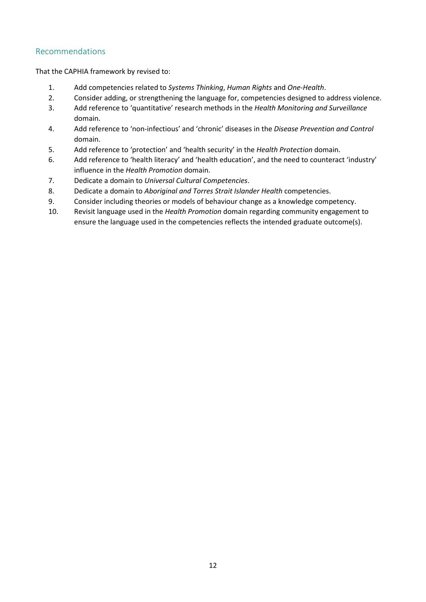## <span id="page-14-0"></span>Recommendations

That the CAPHIA framework by revised to:

- 1. Add competencies related to *Systems Thinking*, *Human Rights* and *One-Health*.
- 2. Consider adding, or strengthening the language for, competencies designed to address violence.
- 3. Add reference to 'quantitative' research methods in the *Health Monitoring and Surveillance* domain.
- 4. Add reference to 'non-infectious' and 'chronic' diseases in the *Disease Prevention and Control* domain.
- 5. Add reference to 'protection' and 'health security' in the *Health Protection* domain.
- 6. Add reference to 'health literacy' and 'health education', and the need to counteract 'industry' influence in the *Health Promotion* domain.
- 7. Dedicate a domain to *Universal Cultural Competencies*.
- 8. Dedicate a domain to *Aboriginal and Torres Strait Islander Health* competencies.
- 9. Consider including theories or models of behaviour change as a knowledge competency.
- 10. Revisit language used in the *Health Promotion* domain regarding community engagement to ensure the language used in the competencies reflects the intended graduate outcome(s).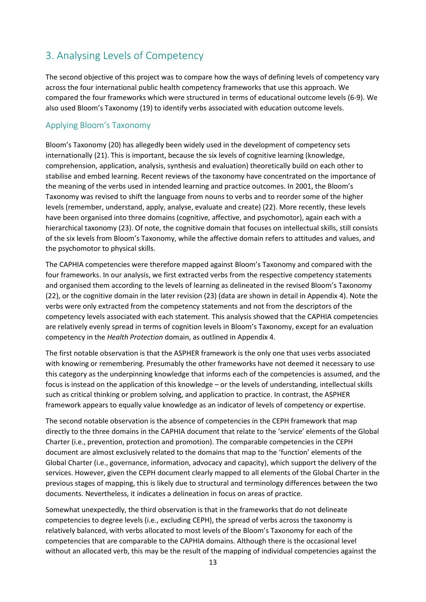# <span id="page-15-0"></span>3. Analysing Levels of Competency

The second objective of this project was to compare how the ways of defining levels of competency vary across the four international public health competency frameworks that use this approach. We compared the four frameworks which were structured in terms of educational outcome levels (6-9). We also used Bloom's Taxonomy (19) to identify verbs associated with education outcome levels.

## <span id="page-15-1"></span>Applying Bloom's Taxonomy

Bloom's Taxonomy (20) has allegedly been widely used in the development of competency sets internationally (21). This is important, because the six levels of cognitive learning (knowledge, comprehension, application, analysis, synthesis and evaluation) theoretically build on each other to stabilise and embed learning. Recent reviews of the taxonomy have concentrated on the importance of the meaning of the verbs used in intended learning and practice outcomes. In 2001, the Bloom's Taxonomy was revised to shift the language from nouns to verbs and to reorder some of the higher levels (remember, understand, apply, analyse, evaluate and create) (22). More recently, these levels have been organised into three domains (cognitive, affective, and psychomotor), again each with a hierarchical taxonomy (23). Of note, the cognitive domain that focuses on intellectual skills, still consists of the six levels from Bloom's Taxonomy, while the affective domain refers to attitudes and values, and the psychomotor to physical skills.

The CAPHIA competencies were therefore mapped against Bloom's Taxonomy and compared with the four frameworks. In our analysis, we first extracted verbs from the respective competency statements and organised them according to the levels of learning as delineated in the revised Bloom's Taxonomy (22), or the cognitive domain in the later revision (23) (data are shown in detail in Appendix 4). Note the verbs were only extracted from the competency statements and not from the descriptors of the competency levels associated with each statement. This analysis showed that the CAPHIA competencies are relatively evenly spread in terms of cognition levels in Bloom's Taxonomy, except for an evaluation competency in the *Health Protection* domain, as outlined in Appendix 4.

The first notable observation is that the ASPHER framework is the only one that uses verbs associated with knowing or remembering. Presumably the other frameworks have not deemed it necessary to use this category as the underpinning knowledge that informs each of the competencies is assumed, and the focus is instead on the application of this knowledge – or the levels of understanding, intellectual skills such as critical thinking or problem solving, and application to practice. In contrast, the ASPHER framework appears to equally value knowledge as an indicator of levels of competency or expertise.

The second notable observation is the absence of competencies in the CEPH framework that map directly to the three domains in the CAPHIA document that relate to the 'service' elements of the Global Charter (i.e., prevention, protection and promotion). The comparable competencies in the CEPH document are almost exclusively related to the domains that map to the 'function' elements of the Global Charter (i.e., governance, information, advocacy and capacity), which support the delivery of the services. However, given the CEPH document clearly mapped to all elements of the Global Charter in the previous stages of mapping, this is likely due to structural and terminology differences between the two documents. Nevertheless, it indicates a delineation in focus on areas of practice.

Somewhat unexpectedly, the third observation is that in the frameworks that do not delineate competencies to degree levels (i.e., excluding CEPH), the spread of verbs across the taxonomy is relatively balanced, with verbs allocated to most levels of the Bloom's Taxonomy for each of the competencies that are comparable to the CAPHIA domains. Although there is the occasional level without an allocated verb, this may be the result of the mapping of individual competencies against the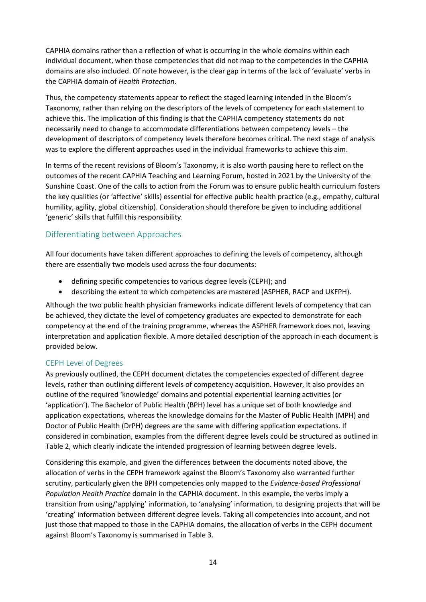CAPHIA domains rather than a reflection of what is occurring in the whole domains within each individual document, when those competencies that did not map to the competencies in the CAPHIA domains are also included. Of note however, is the clear gap in terms of the lack of 'evaluate' verbs in the CAPHIA domain of *Health Protection*.

Thus, the competency statements appear to reflect the staged learning intended in the Bloom's Taxonomy, rather than relying on the descriptors of the levels of competency for each statement to achieve this. The implication of this finding is that the CAPHIA competency statements do not necessarily need to change to accommodate differentiations between competency levels – the development of descriptors of competency levels therefore becomes critical. The next stage of analysis was to explore the different approaches used in the individual frameworks to achieve this aim.

In terms of the recent revisions of Bloom's Taxonomy, it is also worth pausing here to reflect on the outcomes of the recent CAPHIA Teaching and Learning Forum, hosted in 2021 by the University of the Sunshine Coast. One of the calls to action from the Forum was to ensure public health curriculum fosters the key qualities (or 'affective' skills) essential for effective public health practice (e.g., empathy, cultural humility, agility, global citizenship). Consideration should therefore be given to including additional 'generic' skills that fulfill this responsibility.

# <span id="page-16-0"></span>Differentiating between Approaches

All four documents have taken different approaches to defining the levels of competency, although there are essentially two models used across the four documents:

- defining specific competencies to various degree levels (CEPH); and
- describing the extent to which competencies are mastered (ASPHER, RACP and UKFPH).

Although the two public health physician frameworks indicate different levels of competency that can be achieved, they dictate the level of competency graduates are expected to demonstrate for each competency at the end of the training programme, whereas the ASPHER framework does not, leaving interpretation and application flexible. A more detailed description of the approach in each document is provided below.

#### <span id="page-16-1"></span>CEPH Level of Degrees

As previously outlined, the CEPH document dictates the competencies expected of different degree levels, rather than outlining different levels of competency acquisition. However, it also provides an outline of the required 'knowledge' domains and potential experiential learning activities (or 'application'). The Bachelor of Public Health (BPH) level has a unique set of both knowledge and application expectations, whereas the knowledge domains for the Master of Public Health (MPH) and Doctor of Public Health (DrPH) degrees are the same with differing application expectations. If considered in combination, examples from the different degree levels could be structured as outlined in Table 2, which clearly indicate the intended progression of learning between degree levels.

Considering this example, and given the differences between the documents noted above, the allocation of verbs in the CEPH framework against the Bloom's Taxonomy also warranted further scrutiny, particularly given the BPH competencies only mapped to the *Evidence-based Professional Population Health Practice* domain in the CAPHIA document. In this example, the verbs imply a transition from using/'applying' information, to 'analysing' information, to designing projects that will be 'creating' information between different degree levels. Taking all competencies into account, and not just those that mapped to those in the CAPHIA domains, the allocation of verbs in the CEPH document against Bloom's Taxonomy is summarised in Table 3.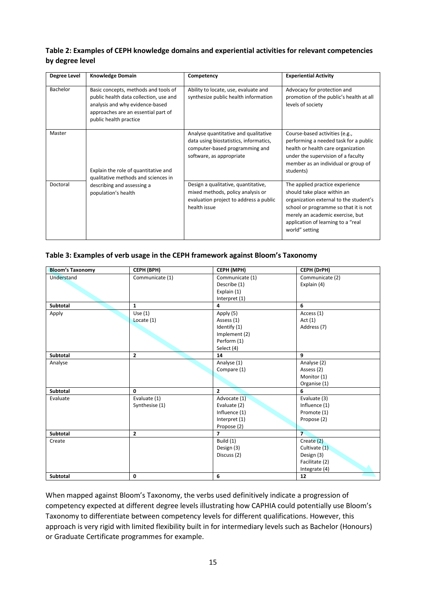#### **Table 2: Examples of CEPH knowledge domains and experiential activities for relevant competencies by degree level**

| <b>Degree Level</b> | <b>Knowledge Domain</b>                                                                                                                                                            | Competency                                                                                                                                   | <b>Experiential Activity</b>                                                                                                                                                                                                                  |
|---------------------|------------------------------------------------------------------------------------------------------------------------------------------------------------------------------------|----------------------------------------------------------------------------------------------------------------------------------------------|-----------------------------------------------------------------------------------------------------------------------------------------------------------------------------------------------------------------------------------------------|
| Bachelor            | Basic concepts, methods and tools of<br>public health data collection, use and<br>analysis and why evidence-based<br>approaches are an essential part of<br>public health practice | Ability to locate, use, evaluate and<br>synthesize public health information                                                                 | Advocacy for protection and<br>promotion of the public's health at all<br>levels of society                                                                                                                                                   |
| Master              | Explain the role of quantitative and<br>qualitative methods and sciences in                                                                                                        | Analyse quantitative and qualitative<br>data using biostatistics, informatics,<br>computer-based programming and<br>software, as appropriate | Course-based activities (e.g.,<br>performing a needed task for a public<br>health or health care organization<br>under the supervision of a faculty<br>member as an individual or group of<br>students)                                       |
| Doctoral            | describing and assessing a<br>population's health                                                                                                                                  | Design a qualitative, quantitative,<br>mixed methods, policy analysis or<br>evaluation project to address a public<br>health issue           | The applied practice experience<br>should take place within an<br>organization external to the student's<br>school or programme so that it is not<br>merely an academic exercise, but<br>application of learning to a "real<br>world" setting |

#### **Table 3: Examples of verb usage in the CEPH framework against Bloom's Taxonomy**

| <b>Bloom's Taxonomy</b> | CEPH (BPH)      | CEPH (MPH)      | CEPH (DrPH)     |
|-------------------------|-----------------|-----------------|-----------------|
| Understand              | Communicate (1) | Communicate (1) | Communicate (2) |
|                         |                 | Describe (1)    | Explain (4)     |
|                         |                 | Explain (1)     |                 |
|                         |                 | Interpret (1)   |                 |
| <b>Subtotal</b>         | $\mathbf{1}$    | 4               | 6               |
| Apply                   | Use $(1)$       | Apply (5)       | Access (1)      |
|                         | Locate $(1)$    | Assess (1)      | Act(1)          |
|                         |                 | Identify (1)    | Address (7)     |
|                         |                 | Implement (2)   |                 |
|                         |                 | Perform (1)     |                 |
|                         |                 | Select (4)      |                 |
| Subtotal                | $\overline{2}$  | 14              | 9               |
| Analyse                 |                 | Analyse (1)     | Analyse (2)     |
|                         |                 | Compare (1)     | Assess (2)      |
|                         |                 |                 | Monitor (1)     |
|                         |                 |                 | Organise (1)    |
| Subtotal                | $\mathbf{0}$    | $\overline{2}$  | 6               |
| Evaluate                | Evaluate (1)    | Advocate (1)    | Evaluate (3)    |
|                         | Synthesise (1)  | Evaluate (2)    | Influence (1)   |
|                         |                 | Influence (1)   | Promote (1)     |
|                         |                 | Interpret (1)   | Propose (2)     |
|                         |                 | Propose (2)     |                 |
| Subtotal                | $\overline{2}$  | $\overline{7}$  | $\overline{7}$  |
| Create                  |                 | Build (1)       | Create (2)      |
|                         |                 | Design (3)      | Cultivate (1)   |
|                         |                 | Discuss (2)     | Design (3)      |
|                         |                 |                 | Facilitate (2)  |
|                         |                 |                 | Integrate (4)   |
| Subtotal                | 0               | 6               | 12              |

When mapped against Bloom's Taxonomy, the verbs used definitively indicate a progression of competency expected at different degree levels illustrating how CAPHIA could potentially use Bloom's Taxonomy to differentiate between competency levels for different qualifications. However, this approach is very rigid with limited flexibility built in for intermediary levels such as Bachelor (Honours) or Graduate Certificate programmes for example.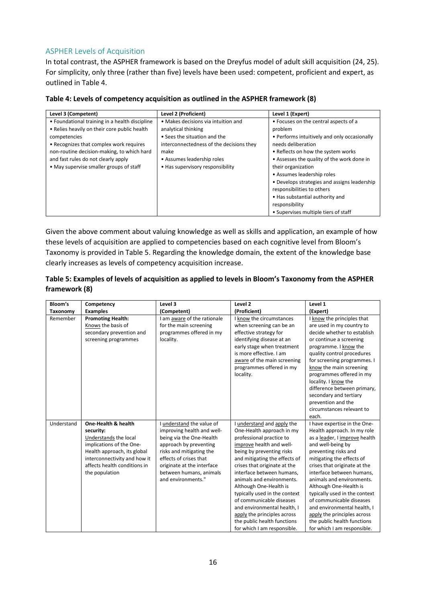## <span id="page-18-0"></span>ASPHER Levels of Acquisition

In total contrast, the ASPHER framework is based on the Dreyfus model of adult skill acquisition (24, 25). For simplicity, only three (rather than five) levels have been used: competent, proficient and expert, as outlined in Table 4.

| Level 3 (Competent)                            | Level 2 (Proficient)                     | Level 1 (Expert)                             |
|------------------------------------------------|------------------------------------------|----------------------------------------------|
| • Foundational training in a health discipline | • Makes decisions via intuition and      | • Focuses on the central aspects of a        |
| • Relies heavily on their core public health   | analytical thinking                      | problem                                      |
| competencies                                   | • Sees the situation and the             | • Performs intuitively and only occasionally |
| • Recognizes that complex work requires        | interconnectedness of the decisions they | needs deliberation                           |
| non-routine decision-making, to which hard     | make                                     | • Reflects on how the system works           |
| and fast rules do not clearly apply            | • Assumes leadership roles               | • Assesses the quality of the work done in   |
| • May supervise smaller groups of staff        | • Has supervisory responsibility         | their organization                           |
|                                                |                                          | • Assumes leadership roles                   |
|                                                |                                          | • Develops strategies and assigns leadership |
|                                                |                                          | responsibilities to others                   |
|                                                |                                          | • Has substantial authority and              |
|                                                |                                          | responsibility                               |
|                                                |                                          | • Supervises multiple tiers of staff         |

| Table 4: Levels of competency acquisition as outlined in the ASPHER framework (8) |
|-----------------------------------------------------------------------------------|
|-----------------------------------------------------------------------------------|

Given the above comment about valuing knowledge as well as skills and application, an example of how these levels of acquisition are applied to competencies based on each cognitive level from Bloom's Taxonomy is provided in Table 5. Regarding the knowledge domain, the extent of the knowledge base clearly increases as levels of competency acquisition increase.

| Table 5: Examples of levels of acquisition as applied to levels in Bloom's Taxonomy from the ASPHER |  |
|-----------------------------------------------------------------------------------------------------|--|
| framework (8)                                                                                       |  |

| Bloom's    | Competency                                                                                                                                                                                             | Level 3                                                                                                                                                                                                                                            | Level 2                                                                                                                                                                                                                                                                                                                                                                                                                                                                                  | Level 1                                                                                                                                                                                                                                                                                                                                                                                                                                                                             |
|------------|--------------------------------------------------------------------------------------------------------------------------------------------------------------------------------------------------------|----------------------------------------------------------------------------------------------------------------------------------------------------------------------------------------------------------------------------------------------------|------------------------------------------------------------------------------------------------------------------------------------------------------------------------------------------------------------------------------------------------------------------------------------------------------------------------------------------------------------------------------------------------------------------------------------------------------------------------------------------|-------------------------------------------------------------------------------------------------------------------------------------------------------------------------------------------------------------------------------------------------------------------------------------------------------------------------------------------------------------------------------------------------------------------------------------------------------------------------------------|
| Taxonomy   | <b>Examples</b>                                                                                                                                                                                        | (Competent)                                                                                                                                                                                                                                        | (Proficient)                                                                                                                                                                                                                                                                                                                                                                                                                                                                             | (Expert)                                                                                                                                                                                                                                                                                                                                                                                                                                                                            |
| Remember   | <b>Promoting Health:</b><br>Knows the basis of<br>secondary prevention and<br>screening programmes                                                                                                     | I am aware of the rationale<br>for the main screening<br>programmes offered in my<br>locality.                                                                                                                                                     | I know the circumstances<br>when screening can be an<br>effective strategy for<br>identifying disease at an<br>early stage when treatment<br>is more effective. I am<br>aware of the main screening<br>programmes offered in my<br>locality.                                                                                                                                                                                                                                             | I know the principles that<br>are used in my country to<br>decide whether to establish<br>or continue a screening<br>programme. I know the<br>quality control procedures<br>for screening programmes. I<br>know the main screening<br>programmes offered in my<br>locality. I know the<br>difference between primary,<br>secondary and tertiary<br>prevention and the<br>circumstances relevant to<br>each.                                                                         |
| Understand | One-Health & health<br>security:<br>Understands the local<br>implications of the One-<br>Health approach, its global<br>interconnectivity and how it<br>affects health conditions in<br>the population | I understand the value of<br>improving health and well-<br>being via the One-Health<br>approach by preventing<br>risks and mitigating the<br>effects of crises that<br>originate at the interface<br>between humans, animals<br>and environments." | understand and apply the<br>One-Health approach in my<br>professional practice to<br>improve health and well-<br>being by preventing risks<br>and mitigating the effects of<br>crises that originate at the<br>interface between humans,<br>animals and environments.<br>Although One-Health is<br>typically used in the context<br>of communicable diseases<br>and environmental health, I<br>apply the principles across<br>the public health functions<br>for which I am responsible. | I have expertise in the One-<br>Health approach. In my role<br>as a leader, I improve health<br>and well-being by<br>preventing risks and<br>mitigating the effects of<br>crises that originate at the<br>interface between humans.<br>animals and environments.<br>Although One-Health is<br>typically used in the context<br>of communicable diseases<br>and environmental health, I<br>apply the principles across<br>the public health functions<br>for which I am responsible. |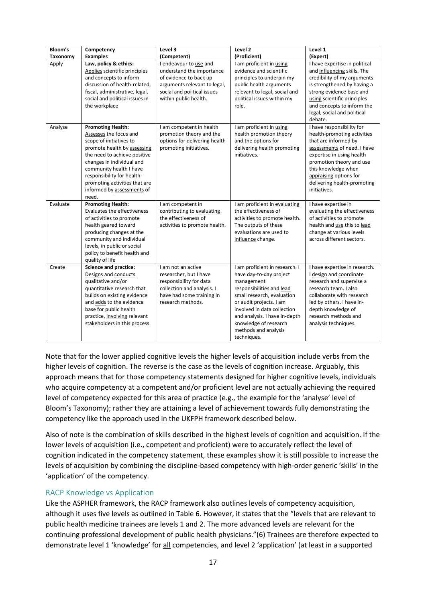| Bloom's         | Competency                                                                                                                                                                                                                                                                                                 | Level 3                                                                                                                                                               | Level 2                                                                                                                                                                                                                                                                                       | Level 1                                                                                                                                                                                                                                                                  |
|-----------------|------------------------------------------------------------------------------------------------------------------------------------------------------------------------------------------------------------------------------------------------------------------------------------------------------------|-----------------------------------------------------------------------------------------------------------------------------------------------------------------------|-----------------------------------------------------------------------------------------------------------------------------------------------------------------------------------------------------------------------------------------------------------------------------------------------|--------------------------------------------------------------------------------------------------------------------------------------------------------------------------------------------------------------------------------------------------------------------------|
| <b>Taxonomy</b> | <b>Examples</b>                                                                                                                                                                                                                                                                                            | (Competent)                                                                                                                                                           | (Proficient)                                                                                                                                                                                                                                                                                  | (Expert)                                                                                                                                                                                                                                                                 |
| Apply           | Law, policy & ethics:<br>Applies scientific principles<br>and concepts to inform<br>discussion of health-related,<br>fiscal, administrative, legal,<br>social and political issues in<br>the workplace                                                                                                     | I endeavour to use and<br>understand the importance<br>of evidence to back up<br>arguments relevant to legal,<br>social and political issues<br>within public health. | I am proficient in using<br>evidence and scientific<br>principles to underpin my<br>public health arguments<br>relevant to legal, social and<br>political issues within my<br>role.                                                                                                           | I have expertise in political<br>and influencing skills. The<br>credibility of my arguments<br>is strengthened by having a<br>strong evidence base and<br>using scientific principles<br>and concepts to inform the<br>legal, social and political<br>debate.            |
| Analyse         | <b>Promoting Health:</b><br>Assesses the focus and<br>scope of initiatives to<br>promote health by assessing<br>the need to achieve positive<br>changes in individual and<br>community health I have<br>responsibility for health-<br>promoting activities that are<br>informed by assessments of<br>need. | I am competent in health<br>promotion theory and the<br>options for delivering health<br>promoting initiatives.                                                       | I am proficient in using<br>health promotion theory<br>and the options for<br>delivering health promoting<br>initiatives.                                                                                                                                                                     | I have responsibility for<br>health-promoting activities<br>that are informed by<br>assessments of need. I have<br>expertise in using health<br>promotion theory and use<br>this knowledge when<br>appraising options for<br>delivering health-promoting<br>initiatives. |
| Evaluate        | <b>Promoting Health:</b><br>Evaluates the effectiveness<br>of activities to promote<br>health geared toward<br>producing changes at the<br>community and individual<br>levels, in public or social<br>policy to benefit health and<br>quality of life                                                      | I am competent in<br>contributing to evaluating<br>the effectiveness of<br>activities to promote health.                                                              | I am proficient in evaluating<br>the effectiveness of<br>activities to promote health.<br>The outputs of these<br>evaluations are used to<br>influence change.                                                                                                                                | I have expertise in<br>evaluating the effectiveness<br>of activities to promote<br>health and <u>use</u> this to lead<br>change at various levels<br>across different sectors.                                                                                           |
| Create          | <b>Science and practice:</b><br>Designs and conducts<br>qualitative and/or<br>quantitative research that<br>builds on existing evidence<br>and adds to the evidence<br>base for public health<br>practice, involving relevant<br>stakeholders in this process                                              | I am not an active<br>researcher, but I have<br>responsibility for data<br>collection and analysis. I<br>have had some training in<br>research methods.               | I am proficient in research. I<br>have day-to-day project<br>management<br>responsibilities and lead<br>small research, evaluation<br>or audit projects. I am<br>involved in data collection<br>and analysis. I have in-depth<br>knowledge of research<br>methods and analysis<br>techniques. | I have expertise in research.<br>I design and coordinate<br>research and supervise a<br>research team. I also<br>collaborate with research<br>led by others. I have in-<br>depth knowledge of<br>research methods and<br>analysis techniques.                            |

Note that for the lower applied cognitive levels the higher levels of acquisition include verbs from the higher levels of cognition. The reverse is the case as the levels of cognition increase. Arguably, this approach means that for those competency statements designed for higher cognitive levels, individuals who acquire competency at a competent and/or proficient level are not actually achieving the required level of competency expected for this area of practice (e.g., the example for the 'analyse' level of Bloom's Taxonomy); rather they are attaining a level of achievement towards fully demonstrating the competency like the approach used in the UKFPH framework described below.

Also of note is the combination of skills described in the highest levels of cognition and acquisition. If the lower levels of acquisition (i.e., competent and proficient) were to accurately reflect the level of cognition indicated in the competency statement, these examples show it is still possible to increase the levels of acquisition by combining the discipline-based competency with high-order generic 'skills' in the 'application' of the competency.

#### <span id="page-19-0"></span>RACP Knowledge vs Application

Like the ASPHER framework, the RACP framework also outlines levels of competency acquisition, although it uses five levels as outlined in Table 6. However, it states that the "levels that are relevant to public health medicine trainees are levels 1 and 2. The more advanced levels are relevant for the continuing professional development of public health physicians."(6) Trainees are therefore expected to demonstrate level 1 'knowledge' for all competencies, and level 2 'application' (at least in a supported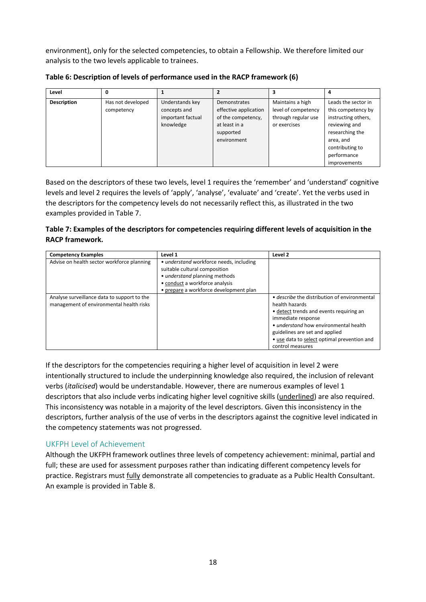environment), only for the selected competencies, to obtain a Fellowship. We therefore limited our analysis to the two levels applicable to trainees.

| Level              |                   |                   |                       |                     |                     |
|--------------------|-------------------|-------------------|-----------------------|---------------------|---------------------|
| <b>Description</b> | Has not developed | Understands key   | Demonstrates          | Maintains a high    | Leads the sector in |
|                    | competency        | concepts and      | effective application | level of competency | this competency by  |
|                    |                   | important factual | of the competency,    | through regular use | instructing others, |
|                    |                   | knowledge         | at least in a         | or exercises        | reviewing and       |
|                    |                   |                   | supported             |                     | researching the     |
|                    |                   |                   | environment           |                     | area, and           |
|                    |                   |                   |                       |                     | contributing to     |
|                    |                   |                   |                       |                     | performance         |
|                    |                   |                   |                       |                     | improvements        |

**Table 6: Description of levels of performance used in the RACP framework (6)**

Based on the descriptors of these two levels, level 1 requires the 'remember' and 'understand' cognitive levels and level 2 requires the levels of 'apply', 'analyse', 'evaluate' and 'create'. Yet the verbs used in the descriptors for the competency levels do not necessarily reflect this, as illustrated in the two examples provided in Table 7.

#### **Table 7: Examples of the descriptors for competencies requiring different levels of acquisition in the RACP framework.**

| <b>Competency Examples</b>                  | Level 1                                 | Level 2                                      |
|---------------------------------------------|-----------------------------------------|----------------------------------------------|
| Advise on health sector workforce planning  | • understand workforce needs, including |                                              |
|                                             | suitable cultural composition           |                                              |
|                                             | • understand planning methods           |                                              |
|                                             | • conduct a workforce analysis          |                                              |
|                                             | • prepare a workforce development plan  |                                              |
| Analyse surveillance data to support to the |                                         | • describe the distribution of environmental |
| management of environmental health risks    |                                         | health hazards                               |
|                                             |                                         | • detect trends and events requiring an      |
|                                             |                                         | immediate response                           |
|                                             |                                         | • understand how environmental health        |
|                                             |                                         | guidelines are set and applied               |
|                                             |                                         | • use data to select optimal prevention and  |
|                                             |                                         | control measures                             |

If the descriptors for the competencies requiring a higher level of acquisition in level 2 were intentionally structured to include the underpinning knowledge also required, the inclusion of relevant verbs (*italicised*) would be understandable. However, there are numerous examples of level 1 descriptors that also include verbs indicating higher level cognitive skills (underlined) are also required. This inconsistency was notable in a majority of the level descriptors. Given this inconsistency in the descriptors, further analysis of the use of verbs in the descriptors against the cognitive level indicated in the competency statements was not progressed.

## <span id="page-20-0"></span>UKFPH Level of Achievement

Although the UKFPH framework outlines three levels of competency achievement: minimal, partial and full; these are used for assessment purposes rather than indicating different competency levels for practice. Registrars must fully demonstrate all competencies to graduate as a Public Health Consultant. An example is provided in Table 8.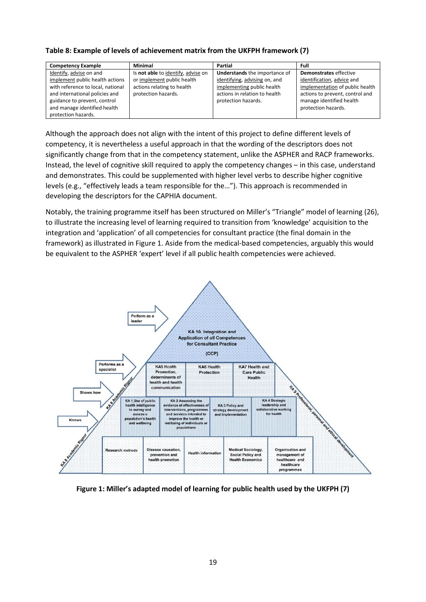#### **Table 8: Example of levels of achievement matrix from the UKFPH framework (7)**

| <b>Competency Example</b>         | <b>Minimal</b>                     | Partial                              | Full                            |
|-----------------------------------|------------------------------------|--------------------------------------|---------------------------------|
| Identify, advise on and           | Is not able to identify, advise on | <b>Understands</b> the importance of | Demonstrates effective          |
| implement public health actions   | or implement public health         | identifying, advising on, and        | identification, advice and      |
| with reference to local, national | actions relating to health         | implementing public health           | implementation of public health |
| and international policies and    | protection hazards.                | actions in relation to health        | actions to prevent, control and |
| guidance to prevent, control      |                                    | protection hazards.                  | manage identified health        |
| and manage identified health      |                                    |                                      | protection hazards.             |
| protection hazards.               |                                    |                                      |                                 |

Although the approach does not align with the intent of this project to define different levels of competency, it is nevertheless a useful approach in that the wording of the descriptors does not significantly change from that in the competency statement, unlike the ASPHER and RACP frameworks. Instead, the level of cognitive skill required to apply the competency changes – in this case, understand and demonstrates. This could be supplemented with higher level verbs to describe higher cognitive levels (e.g., "effectively leads a team responsible for the…"). This approach is recommended in developing the descriptors for the CAPHIA document.

Notably, the training programme itself has been structured on Miller's "Triangle" model of learning (26), to illustrate the increasing level of learning required to transition from 'knowledge' acquisition to the integration and 'application' of all competencies for consultant practice (the final domain in the framework) as illustrated in Figure 1. Aside from the medical-based competencies, arguably this would be equivalent to the ASPHER 'expert' level if all public health competencies were achieved.



**Figure 1: Miller's adapted model of learning for public health used by the UKFPH (7)**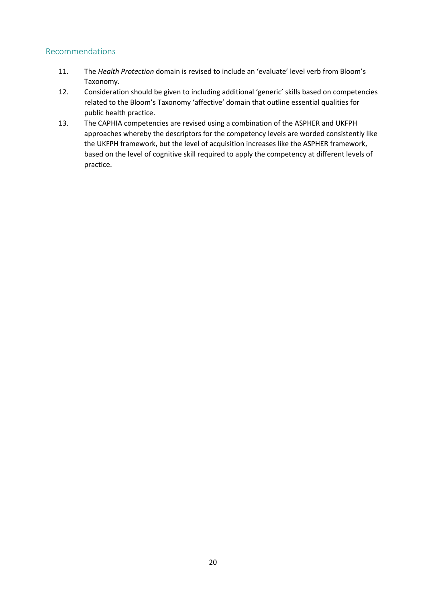## <span id="page-22-0"></span>Recommendations

- 11. The *Health Protection* domain is revised to include an 'evaluate' level verb from Bloom's Taxonomy.
- 12. Consideration should be given to including additional 'generic' skills based on competencies related to the Bloom's Taxonomy 'affective' domain that outline essential qualities for public health practice.
- 13. The CAPHIA competencies are revised using a combination of the ASPHER and UKFPH approaches whereby the descriptors for the competency levels are worded consistently like the UKFPH framework, but the level of acquisition increases like the ASPHER framework, based on the level of cognitive skill required to apply the competency at different levels of practice.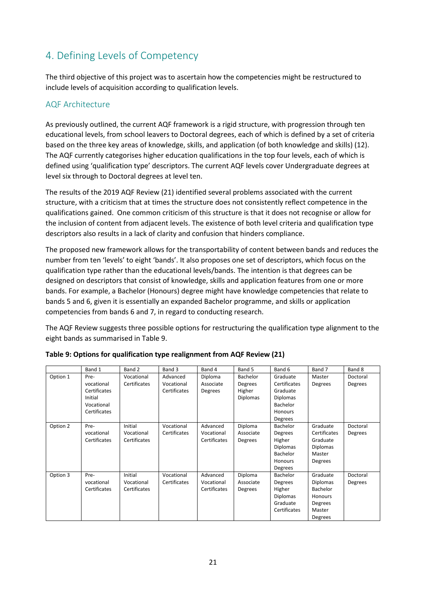# <span id="page-23-0"></span>4. Defining Levels of Competency

The third objective of this project was to ascertain how the competencies might be restructured to include levels of acquisition according to qualification levels.

## <span id="page-23-1"></span>AQF Architecture

As previously outlined, the current AQF framework is a rigid structure, with progression through ten educational levels, from school leavers to Doctoral degrees, each of which is defined by a set of criteria based on the three key areas of knowledge, skills, and application (of both knowledge and skills) (12). The AQF currently categorises higher education qualifications in the top four levels, each of which is defined using 'qualification type' descriptors. The current AQF levels cover Undergraduate degrees at level six through to Doctoral degrees at level ten.

The results of the 2019 AQF Review (21) identified several problems associated with the current structure, with a criticism that at times the structure does not consistently reflect competence in the qualifications gained. One common criticism of this structure is that it does not recognise or allow for the inclusion of content from adjacent levels. The existence of both level criteria and qualification type descriptors also results in a lack of clarity and confusion that hinders compliance.

The proposed new framework allows for the transportability of content between bands and reduces the number from ten 'levels' to eight 'bands'. It also proposes one set of descriptors, which focus on the qualification type rather than the educational levels/bands. The intention is that degrees can be designed on descriptors that consist of knowledge, skills and application features from one or more bands. For example, a Bachelor (Honours) degree might have knowledge competencies that relate to bands 5 and 6, given it is essentially an expanded Bachelor programme, and skills or application competencies from bands 6 and 7, in regard to conducting research.

The AQF Review suggests three possible options for restructuring the qualification type alignment to the eight bands as summarised in Table 9.

|          | Band 1       | Band 2       | Band 3       | Band 4       | Band 5          | Band 6          | Band 7          | Band 8   |
|----------|--------------|--------------|--------------|--------------|-----------------|-----------------|-----------------|----------|
| Option 1 | Pre-         | Vocational   | Advanced     | Diploma      | <b>Bachelor</b> | Graduate        | Master          | Doctoral |
|          | vocational   | Certificates | Vocational   | Associate    | Degrees         | Certificates    | Degrees         | Degrees  |
|          | Certificates |              | Certificates | Degrees      | Higher          | Graduate        |                 |          |
|          | Initial      |              |              |              | <b>Diplomas</b> | <b>Diplomas</b> |                 |          |
|          | Vocational   |              |              |              |                 | Bachelor        |                 |          |
|          | Certificates |              |              |              |                 | Honours         |                 |          |
|          |              |              |              |              |                 | Degrees         |                 |          |
| Option 2 | Pre-         | Initial      | Vocational   | Advanced     | Diploma         | Bachelor        | Graduate        | Doctoral |
|          | vocational   | Vocational   | Certificates | Vocational   | Associate       | Degrees         | Certificates    | Degrees  |
|          | Certificates | Certificates |              | Certificates | Degrees         | Higher          | Graduate        |          |
|          |              |              |              |              |                 | <b>Diplomas</b> | <b>Diplomas</b> |          |
|          |              |              |              |              |                 | Bachelor        | Master          |          |
|          |              |              |              |              |                 | <b>Honours</b>  | Degrees         |          |
|          |              |              |              |              |                 | Degrees         |                 |          |
| Option 3 | Pre-         | Initial      | Vocational   | Advanced     | Diploma         | Bachelor        | Graduate        | Doctoral |
|          | vocational   | Vocational   | Certificates | Vocational   | Associate       | Degrees         | <b>Diplomas</b> | Degrees  |
|          | Certificates | Certificates |              | Certificates | Degrees         | Higher          | Bachelor        |          |
|          |              |              |              |              |                 | <b>Diplomas</b> | Honours         |          |
|          |              |              |              |              |                 | Graduate        | Degrees         |          |
|          |              |              |              |              |                 | Certificates    | Master          |          |
|          |              |              |              |              |                 |                 | Degrees         |          |

|  |  | Table 9: Options for qualification type realignment from AQF Review (21) |  |  |
|--|--|--------------------------------------------------------------------------|--|--|
|--|--|--------------------------------------------------------------------------|--|--|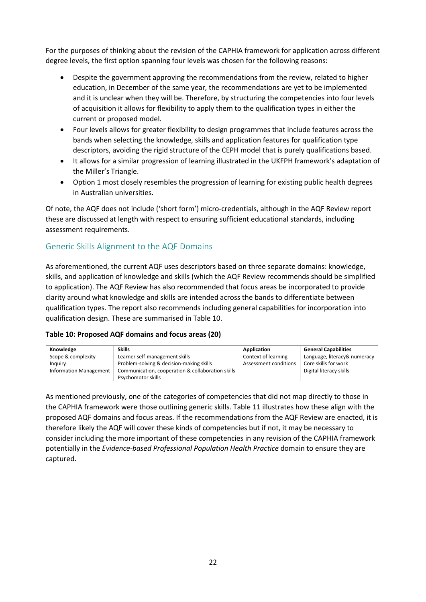For the purposes of thinking about the revision of the CAPHIA framework for application across different degree levels, the first option spanning four levels was chosen for the following reasons:

- Despite the government approving the recommendations from the review, related to higher education, in December of the same year, the recommendations are yet to be implemented and it is unclear when they will be. Therefore, by structuring the competencies into four levels of acquisition it allows for flexibility to apply them to the qualification types in either the current or proposed model.
- Four levels allows for greater flexibility to design programmes that include features across the bands when selecting the knowledge, skills and application features for qualification type descriptors, avoiding the rigid structure of the CEPH model that is purely qualifications based.
- It allows for a similar progression of learning illustrated in the UKFPH framework's adaptation of the Miller's Triangle.
- Option 1 most closely resembles the progression of learning for existing public health degrees in Australian universities.

Of note, the AQF does not include ('short form') micro-credentials, although in the AQF Review report these are discussed at length with respect to ensuring sufficient educational standards, including assessment requirements.

## <span id="page-24-0"></span>Generic Skills Alignment to the AQF Domains

As aforementioned, the current AQF uses descriptors based on three separate domains: knowledge, skills, and application of knowledge and skills (which the AQF Review recommends should be simplified to application). The AQF Review has also recommended that focus areas be incorporated to provide clarity around what knowledge and skills are intended across the bands to differentiate between qualification types. The report also recommends including general capabilities for incorporation into qualification design. These are summarised in Table 10.

#### **Table 10: Proposed AQF domains and focus areas (20)**

| Knowledge                     | <b>Skills</b>                                     | Application           | <b>General Capabilities</b>  |
|-------------------------------|---------------------------------------------------|-----------------------|------------------------------|
| Scope & complexity            | Learner self-management skills                    | Context of learning   | Language, literacy& numeracy |
| Inguiry                       | Problem-solving & decision-making skills          | Assessment conditions | Core skills for work         |
| <b>Information Management</b> | Communication, cooperation & collaboration skills |                       | Digital literacy skills      |
|                               | Psychomotor skills                                |                       |                              |

As mentioned previously, one of the categories of competencies that did not map directly to those in the CAPHIA framework were those outlining generic skills. Table 11 illustrates how these align with the proposed AQF domains and focus areas. If the recommendations from the AQF Review are enacted, it is therefore likely the AQF will cover these kinds of competencies but if not, it may be necessary to consider including the more important of these competencies in any revision of the CAPHIA framework potentially in the *Evidence-based Professional Population Health Practice* domain to ensure they are captured.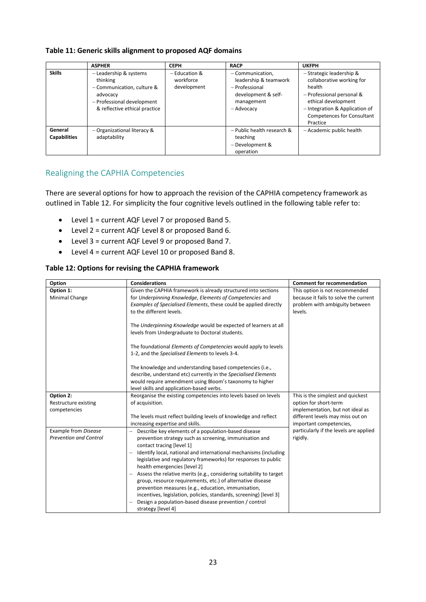#### **Table 11: Generic skills alignment to proposed AQF domains**

|                                | <b>ASPHER</b>                                                                                                                               | <b>CEPH</b>                                 | <b>RACP</b>                                                                                                      | <b>UKFPH</b>                                                                                                                                                                                           |
|--------------------------------|---------------------------------------------------------------------------------------------------------------------------------------------|---------------------------------------------|------------------------------------------------------------------------------------------------------------------|--------------------------------------------------------------------------------------------------------------------------------------------------------------------------------------------------------|
| <b>Skills</b>                  | - Leadership & systems<br>thinking<br>- Communication, culture &<br>advocacy<br>- Professional development<br>& reflective ethical practice | $-$ Education &<br>workforce<br>development | - Communication,<br>leadership & teamwork<br>$-$ Professional<br>development & self-<br>management<br>– Advocacy | - Strategic leadership &<br>collaborative working for<br>health<br>- Professional personal &<br>ethical development<br>- Integration & Application of<br><b>Competences for Consultant</b><br>Practice |
| General<br><b>Capabilities</b> | - Organizational literacy &<br>adaptability                                                                                                 |                                             | - Public health research &<br>teaching<br>- Development &<br>operation                                           | - Academic public health                                                                                                                                                                               |

# <span id="page-25-0"></span>Realigning the CAPHIA Competencies

There are several options for how to approach the revision of the CAPHIA competency framework as outlined in Table 12. For simplicity the four cognitive levels outlined in the following table refer to:

- Level 1 = current AQF Level 7 or proposed Band 5.
- Level 2 = current AQF Level 8 or proposed Band 6.
- Level 3 = current AQF Level 9 or proposed Band 7.
- Level 4 = current AQF Level 10 or proposed Band 8.

#### **Table 12: Options for revising the CAPHIA framework**

| Option                                                | <b>Considerations</b>                                                                                                                                                                                                                                                                                                                                                                                                                                                                                                                                                                                                                                               | <b>Comment for recommendation</b>                                                                                                                             |
|-------------------------------------------------------|---------------------------------------------------------------------------------------------------------------------------------------------------------------------------------------------------------------------------------------------------------------------------------------------------------------------------------------------------------------------------------------------------------------------------------------------------------------------------------------------------------------------------------------------------------------------------------------------------------------------------------------------------------------------|---------------------------------------------------------------------------------------------------------------------------------------------------------------|
| Option 1:                                             | Given the CAPHIA framework is already structured into sections                                                                                                                                                                                                                                                                                                                                                                                                                                                                                                                                                                                                      | This option is not recommended                                                                                                                                |
| Minimal Change                                        | for Underpinning Knowledge, Elements of Competencies and<br>Examples of Specialised Elements, these could be applied directly<br>to the different levels.                                                                                                                                                                                                                                                                                                                                                                                                                                                                                                           | because it fails to solve the current<br>problem with ambiguity between<br>levels.                                                                            |
|                                                       | The Underpinning Knowledge would be expected of learners at all<br>levels from Undergraduate to Doctoral students.                                                                                                                                                                                                                                                                                                                                                                                                                                                                                                                                                  |                                                                                                                                                               |
|                                                       | The foundational <i>Elements of Competencies</i> would apply to levels<br>1-2, and the Specialised Elements to levels 3-4.                                                                                                                                                                                                                                                                                                                                                                                                                                                                                                                                          |                                                                                                                                                               |
|                                                       | The knowledge and understanding based competencies (i.e.,<br>describe, understand etc) currently in the Specialised Elements<br>would require amendment using Bloom's taxonomy to higher<br>level skills and application-based verbs.                                                                                                                                                                                                                                                                                                                                                                                                                               |                                                                                                                                                               |
| Option 2:<br>Restructure existing<br>competencies     | Reorganise the existing competencies into levels based on levels<br>of acquisition.<br>The levels must reflect building levels of knowledge and reflect<br>increasing expertise and skills.                                                                                                                                                                                                                                                                                                                                                                                                                                                                         | This is the simplest and quickest<br>option for short-term<br>implementation, but not ideal as<br>different levels may miss out on<br>important competencies, |
| Example from Disease<br><b>Prevention and Control</b> | Describe key elements of a population-based disease<br>prevention strategy such as screening, immunisation and<br>contact tracing [level 1]<br>Identify local, national and international mechanisms (including<br>legislative and regulatory frameworks) for responses to public<br>health emergencies [level 2]<br>Assess the relative merits (e.g., considering suitability to target<br>group, resource requirements, etc.) of alternative disease<br>prevention measures (e.g., education, immunisation,<br>incentives, legislation, policies, standards, screening) [level 3]<br>Design a population-based disease prevention / control<br>strategy [level 4] | particularly if the levels are applied<br>rigidly.                                                                                                            |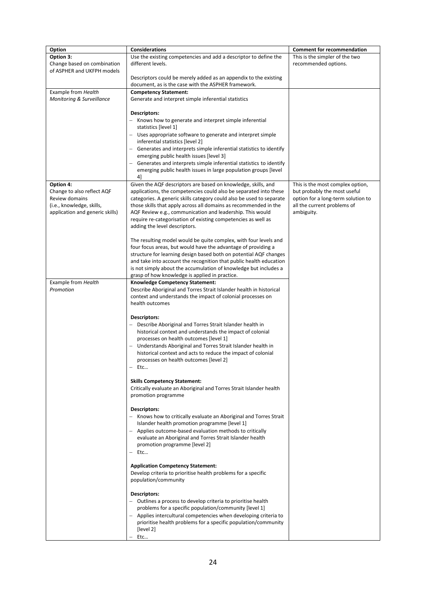| Option                                                                                                                    | Considerations                                                                                                                                                                                                                                                                                                                                                                                                                                                   | <b>Comment for recommendation</b>                                                                                                                   |
|---------------------------------------------------------------------------------------------------------------------------|------------------------------------------------------------------------------------------------------------------------------------------------------------------------------------------------------------------------------------------------------------------------------------------------------------------------------------------------------------------------------------------------------------------------------------------------------------------|-----------------------------------------------------------------------------------------------------------------------------------------------------|
| Option 3:<br>Change based on combination<br>of ASPHER and UKFPH models                                                    | Use the existing competencies and add a descriptor to define the<br>different levels.                                                                                                                                                                                                                                                                                                                                                                            | This is the simpler of the two<br>recommended options.                                                                                              |
|                                                                                                                           | Descriptors could be merely added as an appendix to the existing<br>document, as is the case with the ASPHER framework.                                                                                                                                                                                                                                                                                                                                          |                                                                                                                                                     |
| Example from Health<br>Monitoring & Surveillance                                                                          | <b>Competency Statement:</b><br>Generate and interpret simple inferential statistics                                                                                                                                                                                                                                                                                                                                                                             |                                                                                                                                                     |
|                                                                                                                           | Descriptors:<br>Knows how to generate and interpret simple inferential<br>statistics [level 1]<br>Uses appropriate software to generate and interpret simple<br>inferential statistics [level 2]<br>Generates and interprets simple inferential statistics to identify<br>emerging public health issues [level 3]<br>Generates and interprets simple inferential statistics to identify<br>emerging public health issues in large population groups [level<br>41 |                                                                                                                                                     |
| Option 4:<br>Change to also reflect AQF<br>Review domains<br>(i.e., knowledge, skills,<br>application and generic skills) | Given the AQF descriptors are based on knowledge, skills, and<br>applications, the competencies could also be separated into these<br>categories. A generic skills category could also be used to separate<br>those skills that apply across all domains as recommended in the<br>AQF Review e.g., communication and leadership. This would<br>require re-categorisation of existing competencies as well as<br>adding the level descriptors.                    | This is the most complex option,<br>but probably the most useful<br>option for a long-term solution to<br>all the current problems of<br>ambiguity. |
|                                                                                                                           | The resulting model would be quite complex, with four levels and<br>four focus areas, but would have the advantage of providing a<br>structure for learning design based both on potential AQF changes<br>and take into account the recognition that public health education<br>is not simply about the accumulation of knowledge but includes a<br>grasp of how knowledge is applied in practice.                                                               |                                                                                                                                                     |
| Example from Health<br>Promotion                                                                                          | Knowledge Competency Statement:<br>Describe Aboriginal and Torres Strait Islander health in historical<br>context and understands the impact of colonial processes on<br>health outcomes                                                                                                                                                                                                                                                                         |                                                                                                                                                     |
|                                                                                                                           | Descriptors:<br>Describe Aboriginal and Torres Strait Islander health in<br>historical context and understands the impact of colonial<br>processes on health outcomes [level 1]<br>Understands Aboriginal and Torres Strait Islander health in<br>historical context and acts to reduce the impact of colonial<br>processes on health outcomes [level 2]<br>- Etc                                                                                                |                                                                                                                                                     |
|                                                                                                                           | <b>Skills Competency Statement:</b><br>Critically evaluate an Aboriginal and Torres Strait Islander health<br>promotion programme                                                                                                                                                                                                                                                                                                                                |                                                                                                                                                     |
|                                                                                                                           | <b>Descriptors:</b><br>- Knows how to critically evaluate an Aboriginal and Torres Strait<br>Islander health promotion programme [level 1]<br>- Applies outcome-based evaluation methods to critically<br>evaluate an Aboriginal and Torres Strait Islander health<br>promotion programme [level 2]<br>Etc                                                                                                                                                       |                                                                                                                                                     |
|                                                                                                                           | <b>Application Competency Statement:</b><br>Develop criteria to prioritise health problems for a specific<br>population/community                                                                                                                                                                                                                                                                                                                                |                                                                                                                                                     |
|                                                                                                                           | Descriptors:<br>Outlines a process to develop criteria to prioritise health<br>problems for a specific population/community [level 1]<br>- Applies intercultural competencies when developing criteria to<br>prioritise health problems for a specific population/community<br>[level 2]<br>Etc                                                                                                                                                                  |                                                                                                                                                     |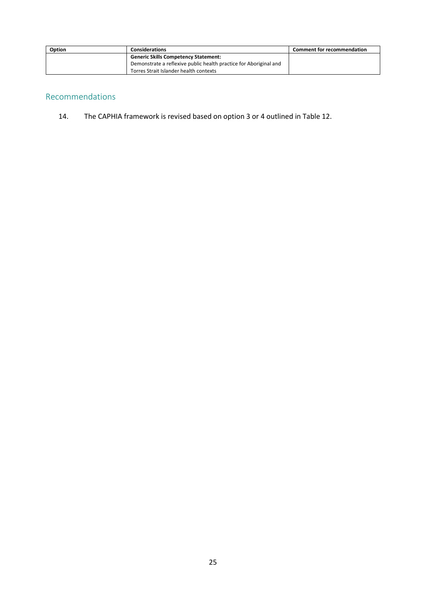| Option | <b>Considerations</b>                                             | <b>Comment for recommendation</b> |
|--------|-------------------------------------------------------------------|-----------------------------------|
|        | <b>Generic Skills Competency Statement:</b>                       |                                   |
|        | Demonstrate a reflexive public health practice for Aboriginal and |                                   |
|        | Torres Strait Islander health contexts                            |                                   |

# <span id="page-27-0"></span>Recommendations

14. The CAPHIA framework is revised based on option 3 or 4 outlined in Table 12.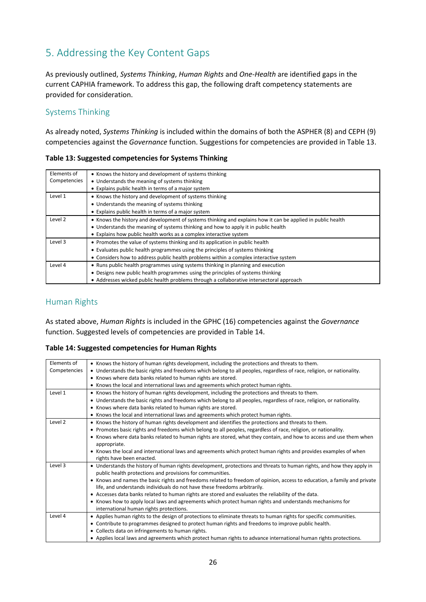# <span id="page-28-0"></span>5. Addressing the Key Content Gaps

As previously outlined, *Systems Thinking*, *Human Rights* and *One-Health* are identified gaps in the current CAPHIA framework. To address this gap, the following draft competency statements are provided for consideration.

## <span id="page-28-1"></span>Systems Thinking

As already noted, *Systems Thinking* is included within the domains of both the ASPHER (8) and CEPH (9) competencies against the *Governance* function. Suggestions for competencies are provided in Table 13.

**Table 13: Suggested competencies for Systems Thinking**

| Elements of  | • Knows the history and development of systems thinking                                                     |
|--------------|-------------------------------------------------------------------------------------------------------------|
| Competencies | • Understands the meaning of systems thinking                                                               |
|              | • Explains public health in terms of a major system                                                         |
| Level 1      | • Knows the history and development of systems thinking                                                     |
|              | • Understands the meaning of systems thinking                                                               |
|              | • Explains public health in terms of a major system                                                         |
| Level 2      | • Knows the history and development of systems thinking and explains how it can be applied in public health |
|              | • Understands the meaning of systems thinking and how to apply it in public health                          |
|              | • Explains how public health works as a complex interactive system                                          |
| Level 3      | • Promotes the value of systems thinking and its application in public health                               |
|              | • Evaluates public health programmes using the principles of systems thinking                               |
|              | • Considers how to address public health problems within a complex interactive system                       |
| Level 4      | • Runs public health programmes using systems thinking in planning and execution                            |
|              | • Designs new public health programmes using the principles of systems thinking                             |
|              | • Addresses wicked public health problems through a collaborative intersectoral approach                    |

## <span id="page-28-2"></span>Human Rights

As stated above, *Human Rights* is included in the GPHC (16) competencies against the *Governance* function. Suggested levels of competencies are provided in Table 14.

**Table 14: Suggested competencies for Human Rights**

| Elements of  | • Knows the history of human rights development, including the protections and threats to them.                          |
|--------------|--------------------------------------------------------------------------------------------------------------------------|
| Competencies | • Understands the basic rights and freedoms which belong to all peoples, regardless of race, religion, or nationality.   |
|              | • Knows where data banks related to human rights are stored.                                                             |
|              | • Knows the local and international laws and agreements which protect human rights.                                      |
| Level 1      | • Knows the history of human rights development, including the protections and threats to them.                          |
|              | • Understands the basic rights and freedoms which belong to all peoples, regardless of race, religion, or nationality.   |
|              | • Knows where data banks related to human rights are stored.                                                             |
|              | • Knows the local and international laws and agreements which protect human rights.                                      |
| Level 2      | • Knows the history of human rights development and identifies the protections and threats to them.                      |
|              | • Promotes basic rights and freedoms which belong to all peoples, regardless of race, religion, or nationality.          |
|              | • Knows where data banks related to human rights are stored, what they contain, and how to access and use them when      |
|              | appropriate.                                                                                                             |
|              | • Knows the local and international laws and agreements which protect human rights and provides examples of when         |
|              | rights have been enacted.                                                                                                |
| Level 3      | • Understands the history of human rights development, protections and threats to human rights, and how they apply in    |
|              | public health protections and provisions for communities.                                                                |
|              | • Knows and names the basic rights and freedoms related to freedom of opinion, access to education, a family and private |
|              | life, and understands individuals do not have these freedoms arbitrarily.                                                |
|              | • Accesses data banks related to human rights are stored and evaluates the reliability of the data.                      |
|              | • Knows how to apply local laws and agreements which protect human rights and understands mechanisms for                 |
|              | international human rights protections.                                                                                  |
| Level 4      | • Applies human rights to the design of protections to eliminate threats to human rights for specific communities.       |
|              | • Contribute to programmes designed to protect human rights and freedoms to improve public health.                       |
|              | • Collects data on infringements to human rights.                                                                        |
|              | • Applies local laws and agreements which protect human rights to advance international human rights protections.        |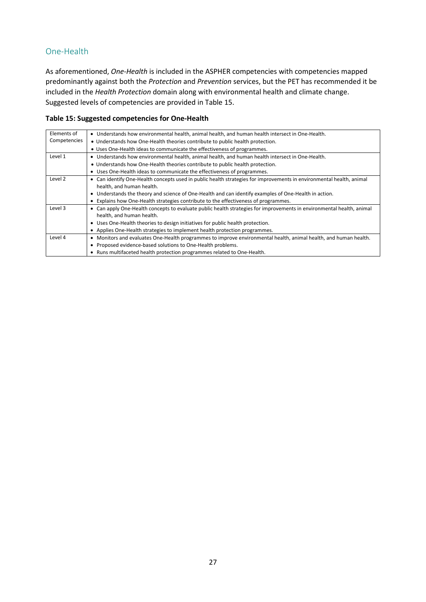# <span id="page-29-0"></span>One-Health

As aforementioned, *One-Health* is included in the ASPHER competencies with competencies mapped predominantly against both the *Protection* and *Prevention* services, but the PET has recommended it be included in the *Health Protection* domain along with environmental health and climate change. Suggested levels of competencies are provided in Table 15.

#### **Table 15: Suggested competencies for One-Health**

| Elements of  | • Understands how environmental health, animal health, and human health intersect in One-Health.                      |
|--------------|-----------------------------------------------------------------------------------------------------------------------|
| Competencies | • Understands how One-Health theories contribute to public health protection.                                         |
|              | • Uses One-Health ideas to communicate the effectiveness of programmes.                                               |
| Level 1      | • Understands how environmental health, animal health, and human health intersect in One-Health.                      |
|              | • Understands how One-Health theories contribute to public health protection.                                         |
|              | • Uses One-Health ideas to communicate the effectiveness of programmes.                                               |
| Level 2      | • Can identify One-Health concepts used in public health strategies for improvements in environmental health, animal  |
|              | health, and human health.                                                                                             |
|              | Understands the theory and science of One-Health and can identify examples of One-Health in action.                   |
|              | Explains how One-Health strategies contribute to the effectiveness of programmes.                                     |
| Level 3      | • Can apply One-Health concepts to evaluate public health strategies for improvements in environmental health, animal |
|              | health, and human health.                                                                                             |
|              | • Uses One-Health theories to design initiatives for public health protection.                                        |
|              | • Applies One-Health strategies to implement health protection programmes.                                            |
| Level 4      | Monitors and evaluates One-Health programmes to improve environmental health, animal health, and human health.<br>٠   |
|              | Proposed evidence-based solutions to One-Health problems.                                                             |
|              | • Runs multifaceted health protection programmes related to One-Health.                                               |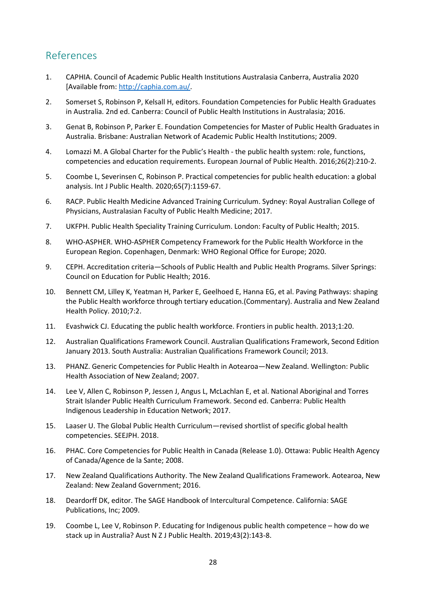# <span id="page-30-0"></span>References

- 1. CAPHIA. Council of Academic Public Health Institutions Australasia Canberra, Australia 2020 [Available from: [http://caphia.com.au/.](http://caphia.com.au/)
- 2. Somerset S, Robinson P, Kelsall H, editors. Foundation Competencies for Public Health Graduates in Australia. 2nd ed. Canberra: Council of Public Health Institutions in Australasia; 2016.
- 3. Genat B, Robinson P, Parker E. Foundation Competencies for Master of Public Health Graduates in Australia. Brisbane: Australian Network of Academic Public Health Institutions; 2009.
- 4. Lomazzi M. A Global Charter for the Public's Health the public health system: role, functions, competencies and education requirements. European Journal of Public Health. 2016;26(2):210-2.
- 5. Coombe L, Severinsen C, Robinson P. Practical competencies for public health education: a global analysis. Int J Public Health. 2020;65(7):1159-67.
- 6. RACP. Public Health Medicine Advanced Training Curriculum. Sydney: Royal Australian College of Physicians, Australasian Faculty of Public Health Medicine; 2017.
- 7. UKFPH. Public Health Speciality Training Curriculum. London: Faculty of Public Health; 2015.
- 8. WHO-ASPHER. WHO-ASPHER Competency Framework for the Public Health Workforce in the European Region. Copenhagen, Denmark: WHO Regional Office for Europe; 2020.
- 9. CEPH. Accreditation criteria—Schools of Public Health and Public Health Programs. Silver Springs: Council on Education for Public Health; 2016.
- 10. Bennett CM, Lilley K, Yeatman H, Parker E, Geelhoed E, Hanna EG, et al. Paving Pathways: shaping the Public Health workforce through tertiary education.(Commentary). Australia and New Zealand Health Policy. 2010;7:2.
- 11. Evashwick CJ. Educating the public health workforce. Frontiers in public health. 2013;1:20.
- 12. Australian Qualifications Framework Council. Australian Qualifications Framework, Second Edition January 2013. South Australia: Australian Qualifications Framework Council; 2013.
- 13. PHANZ. Generic Competencies for Public Health in Aotearoa—New Zealand. Wellington: Public Health Association of New Zealand; 2007.
- 14. Lee V, Allen C, Robinson P, Jessen J, Angus L, McLachlan E, et al. National Aboriginal and Torres Strait Islander Public Health Curriculum Framework. Second ed. Canberra: Public Health Indigenous Leadership in Education Network; 2017.
- 15. Laaser U. The Global Public Health Curriculum—revised shortlist of specific global health competencies. SEEJPH. 2018.
- 16. PHAC. Core Competencies for Public Health in Canada (Release 1.0). Ottawa: Public Health Agency of Canada/Agence de la Sante; 2008.
- 17. New Zealand Qualifications Authority. The New Zealand Qualifications Framework. Aotearoa, New Zealand: New Zealand Government; 2016.
- 18. Deardorff DK, editor. The SAGE Handbook of Intercultural Competence. California: SAGE Publications, Inc; 2009.
- 19. Coombe L, Lee V, Robinson P. Educating for Indigenous public health competence how do we stack up in Australia? Aust N Z J Public Health. 2019;43(2):143-8.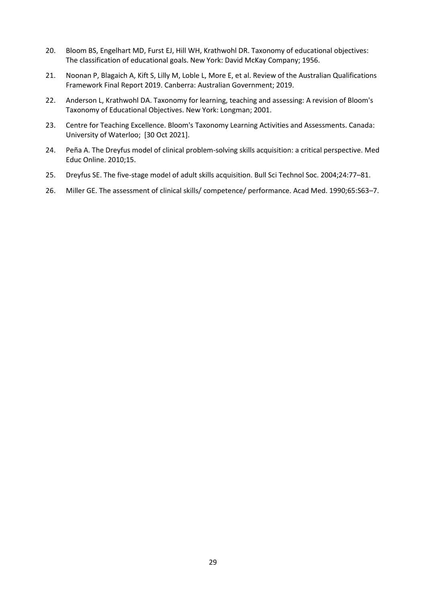- 20. Bloom BS, Engelhart MD, Furst EJ, Hill WH, Krathwohl DR. Taxonomy of educational objectives: The classification of educational goals. New York: David McKay Company; 1956.
- 21. Noonan P, Blagaich A, Kift S, Lilly M, Loble L, More E, et al. Review of the Australian Qualifications Framework Final Report 2019. Canberra: Australian Government; 2019.
- 22. Anderson L, Krathwohl DA. Taxonomy for learning, teaching and assessing: A revision of Bloom's Taxonomy of Educational Objectives. New York: Longman; 2001.
- 23. Centre for Teaching Excellence. Bloom's Taxonomy Learning Activities and Assessments. Canada: University of Waterloo; [30 Oct 2021].
- 24. Peña A. The Dreyfus model of clinical problem-solving skills acquisition: a critical perspective. Med Educ Online. 2010;15.
- 25. Dreyfus SE. The five-stage model of adult skills acquisition. Bull Sci Technol Soc. 2004;24:77–81.
- 26. Miller GE. The assessment of clinical skills/ competence/ performance. Acad Med. 1990;65:S63–7.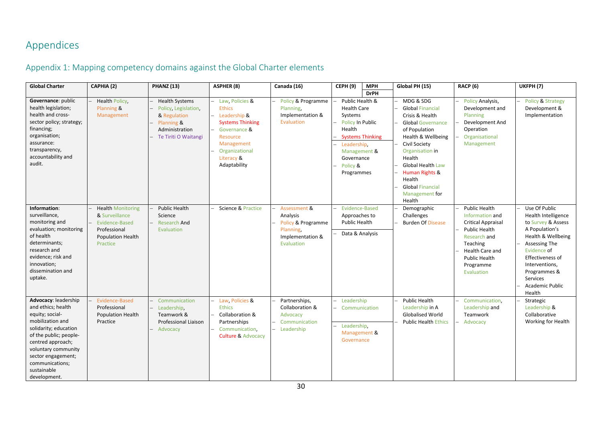# Appendices

# Appendix 1: Mapping competency domains against the Global Charter elements

<span id="page-32-1"></span><span id="page-32-0"></span>

| <b>Global Charter</b>                                                                                                                                                                                                                                    | CAPHIA (2)                                                                                                           | <b>PHANZ (13)</b>                                                                                                     | <b>ASPHER (8)</b>                                                                                                                                                     | Canada (16)                                                                                   | <b>CEPH (9)</b><br><b>MPH</b>                                                                                                                                                           | Global PH (15)                                                                                                                                                                                                                                                                   | <b>RACP (6)</b>                                                                                                                                                                                | <b>UKFPH (7)</b>                                                                                                                                                                                                                         |
|----------------------------------------------------------------------------------------------------------------------------------------------------------------------------------------------------------------------------------------------------------|----------------------------------------------------------------------------------------------------------------------|-----------------------------------------------------------------------------------------------------------------------|-----------------------------------------------------------------------------------------------------------------------------------------------------------------------|-----------------------------------------------------------------------------------------------|-----------------------------------------------------------------------------------------------------------------------------------------------------------------------------------------|----------------------------------------------------------------------------------------------------------------------------------------------------------------------------------------------------------------------------------------------------------------------------------|------------------------------------------------------------------------------------------------------------------------------------------------------------------------------------------------|------------------------------------------------------------------------------------------------------------------------------------------------------------------------------------------------------------------------------------------|
|                                                                                                                                                                                                                                                          |                                                                                                                      |                                                                                                                       |                                                                                                                                                                       |                                                                                               | <b>DrPH</b>                                                                                                                                                                             |                                                                                                                                                                                                                                                                                  |                                                                                                                                                                                                |                                                                                                                                                                                                                                          |
| Governance: public<br>health legislation;<br>health and cross-<br>sector policy; strategy;<br>financing;<br>organisation;<br>assurance:<br>transparency,<br>accountability and<br>audit.                                                                 | Health Policy,<br>Planning &<br>Management                                                                           | <b>Health Systems</b><br>Policy, Legislation,<br>& Regulation<br>Planning &<br>Administration<br>Te Tiriti O Waitangi | Law, Policies &<br><b>Ethics</b><br>Leadership &<br><b>Systems Thinking</b><br>Governance &<br>Resource<br>Management<br>Organizational<br>Literacy &<br>Adaptability | Policy & Programme<br>Planning.<br>Implementation &<br>Evaluation                             | Public Health &<br><b>Health Care</b><br>Systems<br><b>Policy In Public</b><br>Health<br><b>Systems Thinking</b><br>Leadership.<br>Management &<br>Governance<br>Policy &<br>Programmes | MDG & SDG<br><b>Global Financial</b><br>Crisis & Health<br><b>Global Governance</b><br>of Population<br>Health & Wellbeing<br>Civil Society<br>Organisation in<br>Health<br>Global Health Law<br>Human Rights &<br>Health<br><b>Global Financial</b><br>Management for<br>Health | <b>Policy Analysis,</b><br>Development and<br>Planning<br>Development And<br>Operation<br>Organisational<br>Management                                                                         | Policy & Strategy<br>Development &<br>Implementation                                                                                                                                                                                     |
| Information:<br>surveillance,<br>monitoring and<br>evaluation; monitoring<br>of health<br>determinants;<br>research and<br>evidence; risk and<br>innovation;<br>dissemination and<br>uptake.                                                             | <b>Health Monitoring</b><br>& Surveillance<br>Evidence-Based<br>Professional<br><b>Population Health</b><br>Practice | <b>Public Health</b><br>Science<br><b>Research And</b><br>Evaluation                                                  | Science & Practice                                                                                                                                                    | Assessment &<br>Analysis<br>Policy & Programme<br>Planning,<br>Implementation &<br>Evaluation | Evidence-Based<br>Approaches to<br><b>Public Health</b><br>Data & Analysis                                                                                                              | Demographic<br>Challenges<br><b>Burden Of Disease</b>                                                                                                                                                                                                                            | <b>Public Health</b><br>Information and<br><b>Critical Appraisal</b><br><b>Public Health</b><br>Research and<br>Teaching<br>Health Care and<br><b>Public Health</b><br>Programme<br>Evaluation | Use Of Public<br>Health Intelligence<br>to Survey & Assess<br>A Population's<br>Health & Wellbeing<br>Assessing The<br>Evidence of<br>Effectiveness of<br>Interventions,<br>Programmes &<br><b>Services</b><br>Academic Public<br>Health |
| Advocacy: leadership<br>and ethics; health<br>equity; social-<br>mobilization and<br>solidarity; education<br>of the public; people-<br>centred approach;<br>voluntary community<br>sector engagement;<br>communications;<br>sustainable<br>development. | Evidence-Based<br>Professional<br>Population Health<br>Practice                                                      | Communication<br>Leadership.<br>Teamwork &<br>Professional Liaison<br>Advocacy                                        | Law, Policies &<br><b>Ethics</b><br>Collaboration &<br>Partnerships<br>Communication,<br><b>Culture &amp; Advocacy</b>                                                | Partnerships,<br>Collaboration &<br>Advocacy<br>Communication<br>Leadership                   | Leadership<br>Communication<br>Leadership.<br>Management &<br>Governance                                                                                                                | Public Health<br>Leadership in A<br><b>Globalised World</b><br><b>Public Health Ethics</b>                                                                                                                                                                                       | Communication,<br>Leadership and<br>Teamwork<br>Advocacy                                                                                                                                       | Strategic<br>Leadership &<br>Collaborative<br>Working for Health                                                                                                                                                                         |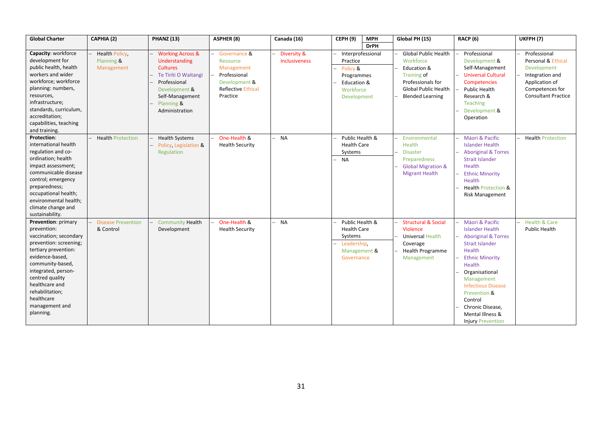| <b>Global Charter</b>                                                                                                                                                                                                                                                             | CAPHIA (2)                                       | <b>PHANZ (13)</b>                                                                                                                                                           | <b>ASPHER (8)</b>                                                                                                | Canada (16)                  | CFPH(9)<br><b>MPH</b>                                                                              | Global PH (15)                                                                                                                                        | RACP (6)                                                                                                                                                                                                                                                                                                                      | UKFPH <sub>(7)</sub>                                                                                                                    |
|-----------------------------------------------------------------------------------------------------------------------------------------------------------------------------------------------------------------------------------------------------------------------------------|--------------------------------------------------|-----------------------------------------------------------------------------------------------------------------------------------------------------------------------------|------------------------------------------------------------------------------------------------------------------|------------------------------|----------------------------------------------------------------------------------------------------|-------------------------------------------------------------------------------------------------------------------------------------------------------|-------------------------------------------------------------------------------------------------------------------------------------------------------------------------------------------------------------------------------------------------------------------------------------------------------------------------------|-----------------------------------------------------------------------------------------------------------------------------------------|
|                                                                                                                                                                                                                                                                                   |                                                  |                                                                                                                                                                             |                                                                                                                  |                              | <b>DrPH</b>                                                                                        |                                                                                                                                                       |                                                                                                                                                                                                                                                                                                                               |                                                                                                                                         |
| Capacity: workforce<br>development for<br>public health, health<br>workers and wider<br>workforce; workforce<br>planning: numbers,<br>resources,<br>infrastructure;<br>standards, curriculum,<br>accreditation;<br>capabilities, teaching<br>and training.                        | <b>Health Policy</b><br>Planning &<br>Management | <b>Working Across &amp;</b><br>Understanding<br><b>Cultures</b><br>Te Tiriti O Waitangi<br>Professional<br>Development &<br>Self-Management<br>Planning &<br>Administration | Governance &<br>Resource<br>Management<br>Professional<br>Development &<br><b>Reflective Ethical</b><br>Practice | Diversity &<br>Inclusiveness | Interprofessional<br>Practice<br>Policy &<br>Programmes<br>Education &<br>Workforce<br>Development | <b>Global Public Health</b><br>Workforce<br>Education &<br>Training of<br>Professionals for<br><b>Global Public Health</b><br><b>Blended Learning</b> | Professional<br>Development &<br>Self-Management<br><b>Universal Cultural</b><br>Competencies<br>Public Health<br>Research &<br><b>Teaching</b><br>Development &<br>Operation                                                                                                                                                 | Professional<br>Personal & Ethical<br>Development<br>Integration and<br>Application of<br>Competences for<br><b>Consultant Practice</b> |
| <b>Protection:</b><br>international health<br>regulation and co-<br>ordination; health<br>impact assessment;<br>communicable disease<br>control; emergency<br>preparedness;<br>occupational health;<br>environmental health;<br>climate change and<br>sustainability.             | <b>Health Protection</b>                         | <b>Health Systems</b><br>Policy, Legislation &<br>Regulation                                                                                                                | One-Health &<br><b>Health Security</b>                                                                           | <b>NA</b>                    | Public Health &<br><b>Health Care</b><br>Systems<br><b>NA</b>                                      | Environmental<br>Health<br><b>Disaster</b><br>Preparedness<br><b>Global Migration &amp;</b><br><b>Migrant Health</b>                                  | Máori & Pacific<br><b>Islander Health</b><br><b>Aboriginal &amp; Torres</b><br><b>Strait Islander</b><br>Health<br><b>Ethnic Minority</b><br><b>Health</b><br><b>Health Protection &amp;</b><br><b>Risk Management</b>                                                                                                        | <b>Health Protection</b>                                                                                                                |
| Prevention: primary<br>prevention:<br>vaccination; secondary<br>prevention: screening;<br>tertiary prevention:<br>evidence-based,<br>community-based,<br>integrated, person-<br>centred quality<br>healthcare and<br>rehabilitation;<br>healthcare<br>management and<br>planning. | <b>Disease Prevention</b><br>& Control           | <b>Community Health</b><br>Development                                                                                                                                      | One-Health &<br><b>Health Security</b>                                                                           | <b>NA</b>                    | Public Health &<br><b>Health Care</b><br>Systems<br>Leadership.<br>Management &<br>Governance      | <b>Structural &amp; Social</b><br>Violence<br>Universal Health<br>Coverage<br><b>Health Programme</b><br>Management                                   | Máori & Pacific<br><b>Islander Health</b><br><b>Aboriginal &amp; Torres</b><br><b>Strait Islander</b><br><b>Health</b><br><b>Ethnic Minority</b><br><b>Health</b><br>Organisational<br>Management<br><b>Infectious Disease</b><br>Prevention &<br>Control<br>Chronic Disease.<br>Mental Illness &<br><b>Injury Prevention</b> | <b>Health &amp; Care</b><br>Public Health                                                                                               |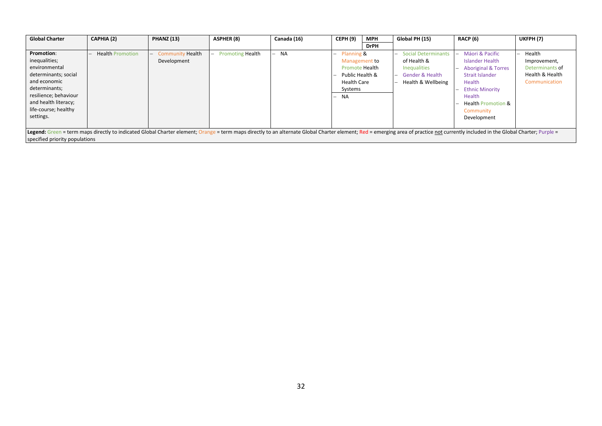| <b>Global Charter</b>                                                                                                                                                                                                                                            | CAPHIA (2)              | <b>PHANZ (13)</b>                      | <b>ASPHER (8)</b>       | Canada (16) | <b>CEPH (9)</b>                                                                                                    | <b>MPH</b>  | Global PH (15)                                                                                              | <b>RACP (6)</b>                                                                                                                                                                                                                       | UKFPH(7)                                                                      |
|------------------------------------------------------------------------------------------------------------------------------------------------------------------------------------------------------------------------------------------------------------------|-------------------------|----------------------------------------|-------------------------|-------------|--------------------------------------------------------------------------------------------------------------------|-------------|-------------------------------------------------------------------------------------------------------------|---------------------------------------------------------------------------------------------------------------------------------------------------------------------------------------------------------------------------------------|-------------------------------------------------------------------------------|
|                                                                                                                                                                                                                                                                  |                         |                                        |                         |             |                                                                                                                    | <b>DrPH</b> |                                                                                                             |                                                                                                                                                                                                                                       |                                                                               |
| <b>Promotion:</b><br>inequalities;<br>environmental<br>determinants; social<br>and economic<br>determinants;<br>resilience; behaviour<br>and health literacy;<br>life-course; healthy<br>settings.                                                               | <b>Health Promotion</b> | <b>Community Health</b><br>Development | <b>Promoting Health</b> | <b>NA</b>   | $-$ Planning &<br>Management to<br><b>Promote Health</b><br>Public Health &<br><b>Health Care</b><br>Systems<br>NA |             | <b>Social Determinants</b><br>of Health &<br><b>Inequalities</b><br>- Gender & Health<br>Health & Wellbeing | Máori & Pacific<br>$\overline{\phantom{0}}$<br>Islander Health<br><b>Aboriginal &amp; Torres</b><br><b>Strait Islander</b><br>Health<br><b>Ethnic Minority</b><br>Health<br><b>Health Promotion &amp;</b><br>Community<br>Development | Health<br>Improvement,<br>Determinants of<br>Health & Health<br>Communication |
| Legend: Green = term maps directly to indicated Global Charter element; Orange = term maps directly to an alternate Global Charter element; Red = emerging area of practice not currently included in the Global Charter; Purp<br>specified priority populations |                         |                                        |                         |             |                                                                                                                    |             |                                                                                                             |                                                                                                                                                                                                                                       |                                                                               |
|                                                                                                                                                                                                                                                                  |                         |                                        |                         |             |                                                                                                                    |             |                                                                                                             |                                                                                                                                                                                                                                       |                                                                               |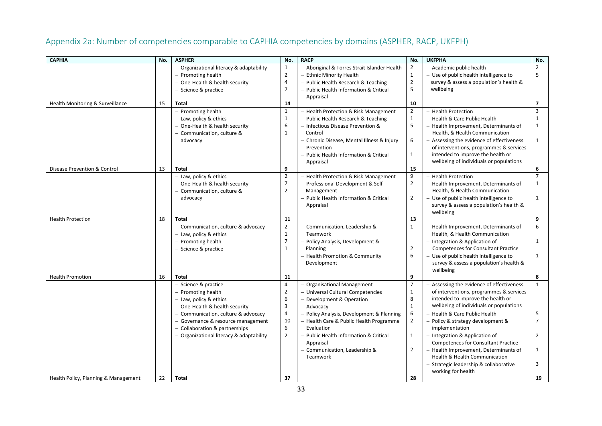<span id="page-35-0"></span>

| <b>CAPHIA</b>                        | No. | <b>ASPHER</b>                            | No.                 | <b>RACP</b>                                  | No.            | <b>UKFPHA</b>                              | No.                     |
|--------------------------------------|-----|------------------------------------------|---------------------|----------------------------------------------|----------------|--------------------------------------------|-------------------------|
|                                      |     | - Organizational literacy & adaptability | 1                   | - Aboriginal & Torres Strait Islander Health | $\overline{2}$ | - Academic public health                   | $\overline{2}$          |
|                                      |     | $-$ Promoting health                     | $\overline{2}$      | - Ethnic Minority Health                     | $\mathbf{1}$   | - Use of public health intelligence to     | 5                       |
|                                      |     | - One-Health & health security           | $\overline{4}$      | - Public Health Research & Teaching          | $\overline{2}$ | survey & assess a population's health &    |                         |
|                                      |     | - Science & practice                     | $\overline{7}$      | - Public Health Information & Critical       | 5              | wellbeing                                  |                         |
|                                      |     |                                          |                     | Appraisal                                    |                |                                            |                         |
| Health Monitoring & Surveillance     | 15  | <b>Total</b>                             | 14                  |                                              | 10             |                                            | 7                       |
|                                      |     | - Promoting health                       | $\mathbf{1}$        | - Health Protection & Risk Management        | $\overline{2}$ | - Health Protection                        | $\overline{\mathbf{3}}$ |
|                                      |     | - Law, policy & ethics                   | $\mathbf{1}$        | - Public Health Research & Teaching          | $\mathbf{1}$   | - Health & Care Public Health              | $\mathbf{1}$            |
|                                      |     | - One-Health & health security           | 6                   | - Infectious Disease Prevention &            | 5              | - Health Improvement, Determinants of      | $\mathbf{1}$            |
|                                      |     | - Communication, culture &               | $\mathbf{1}$        | Control                                      |                | Health, & Health Communication             |                         |
|                                      |     | advocacy                                 |                     | - Chronic Disease, Mental Illness & Injury   | 6              | - Assessing the evidence of effectiveness  | $\mathbf{1}$            |
|                                      |     |                                          |                     | Prevention                                   |                | of interventions, programmes & services    |                         |
|                                      |     |                                          |                     | - Public Health Information & Critical       | $\mathbf{1}$   | intended to improve the health or          |                         |
|                                      |     |                                          |                     | Appraisal                                    |                | wellbeing of individuals or populations    |                         |
| Disease Prevention & Control         | 13  | <b>Total</b>                             | 9                   |                                              | 15             |                                            | 6                       |
|                                      |     | - Law, policy & ethics                   | $\overline{2}$      | - Health Protection & Risk Management        | 9              | - Health Protection                        | $\overline{7}$          |
|                                      |     | - One-Health & health security           | $\overline{7}$      | - Professional Development & Self-           | $\overline{2}$ | - Health Improvement, Determinants of      | $\mathbf{1}$            |
|                                      |     | - Communication, culture &               | $\overline{2}$      | Management                                   |                | Health, & Health Communication             |                         |
|                                      |     | advocacy                                 |                     | - Public Health Information & Critical       | $\overline{2}$ | - Use of public health intelligence to     | 1                       |
|                                      |     |                                          |                     | Appraisal                                    |                | survey & assess a population's health &    |                         |
|                                      |     |                                          |                     |                                              |                | wellbeing                                  |                         |
| <b>Health Protection</b>             | 18  | <b>Total</b>                             | 11                  |                                              | 13             |                                            | 9                       |
|                                      |     | - Communication, culture & advocacy      | $\overline{2}$      | - Communication, Leadership &                | $\mathbf{1}$   | - Health Improvement, Determinants of      | 6                       |
|                                      |     | - Law, policy & ethics                   | $\mathbf{1}$        | Teamwork                                     |                | Health, & Health Communication             |                         |
|                                      |     | - Promoting health                       | $\overline{7}$      | - Policy Analysis, Development &             |                | - Integration & Application of             | $\mathbf{1}$            |
|                                      |     | - Science & practice                     | $\mathbf{1}$        | Planning                                     | $\overline{2}$ | <b>Competences for Consultant Practice</b> |                         |
|                                      |     |                                          |                     | - Health Promotion & Community               | 6              | - Use of public health intelligence to     | $\mathbf{1}$            |
|                                      |     |                                          |                     | Development                                  |                | survey & assess a population's health &    |                         |
|                                      |     |                                          |                     |                                              |                | wellbeing                                  |                         |
| <b>Health Promotion</b>              | 16  | <b>Total</b>                             | 11                  |                                              | 9              |                                            | 8                       |
|                                      |     | - Science & practice                     | $\overline{4}$      | - Organisational Management                  | $\overline{7}$ | - Assessing the evidence of effectiveness  | $\mathbf{1}$            |
|                                      |     | - Promoting health                       | $\overline{2}$<br>6 | - Universal Cultural Competencies            | $\mathbf{1}$   | of interventions, programmes & services    |                         |
|                                      |     | - Law, policy & ethics                   |                     | - Development & Operation                    | 8              | intended to improve the health or          |                         |
|                                      |     | - One-Health & health security           | $\mathbf{3}$        | - Advocacy                                   | $\mathbf 1$    | wellbeing of individuals or populations    |                         |
|                                      |     | - Communication, culture & advocacy      | $\overline{4}$      | - Policy Analysis, Development & Planning    | 6              | - Health & Care Public Health              | 5                       |
|                                      |     | - Governance & resource management       | 10                  | - Health Care & Public Health Programme      | $\overline{2}$ | - Policy & strategy development &          | $\overline{7}$          |
|                                      |     | - Collaboration & partnerships           | 6                   | Evaluation                                   |                | implementation                             |                         |
|                                      |     | - Organizational literacy & adaptability | $\overline{2}$      | - Public Health Information & Critical       | $\mathbf{1}$   | - Integration & Application of             | $\overline{2}$          |
|                                      |     |                                          |                     | Appraisal                                    |                | <b>Competences for Consultant Practice</b> |                         |
|                                      |     |                                          |                     | - Communication, Leadership &                | $\overline{2}$ | - Health Improvement, Determinants of      | $\mathbf{1}$            |
|                                      |     |                                          |                     | Teamwork                                     |                | Health & Health Communication              |                         |
|                                      |     |                                          |                     |                                              |                | - Strategic leadership & collaborative     | 3                       |
|                                      |     |                                          | 37                  |                                              | 28             | working for health                         |                         |
| Health Policy, Planning & Management | 22  | <b>Total</b>                             |                     |                                              |                |                                            | 19                      |

# Appendix 2a: Number of competencies comparable to CAPHIA competencies by domains (ASPHER, RACP, UKFPH)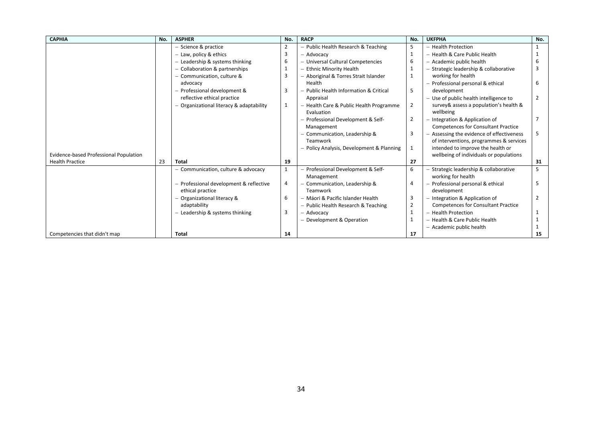| <b>CAPHIA</b>                          | No. | <b>ASPHER</b>                            | No.            | <b>RACP</b>                             | No.            | <b>UKFPHA</b>                              | No. |
|----------------------------------------|-----|------------------------------------------|----------------|-----------------------------------------|----------------|--------------------------------------------|-----|
|                                        |     | - Science & practice                     | $\overline{2}$ | - Public Health Research & Teaching     | 5              | - Health Protection                        |     |
|                                        |     | - Law, policy & ethics                   | 3              | - Advocacv                              | 1              | - Health & Care Public Health              |     |
|                                        |     | $-$ Leadership & systems thinking        | 6              | - Universal Cultural Competencies       | 6              | - Academic public health                   |     |
|                                        |     | - Collaboration & partnerships           | $\mathbf{1}$   | - Ethnic Minority Health                |                | - Strategic leadership & collaborative     |     |
|                                        |     | - Communication, culture &               | 3              | - Aboriginal & Torres Strait Islander   | 1              | working for health                         |     |
|                                        |     | advocacy                                 |                | Health                                  |                | - Professional personal & ethical          | 6   |
|                                        |     | - Professional development &             | 3              | Public Health Information & Critical    | 5              | development                                |     |
|                                        |     | reflective ethical practice              |                | Appraisal                               |                | - Use of public health intelligence to     |     |
|                                        |     | - Organizational literacy & adaptability | 1              | - Health Care & Public Health Programme | $\overline{2}$ | survey & assess a population's health &    |     |
|                                        |     |                                          |                | Evaluation                              |                | wellbeing                                  |     |
|                                        |     |                                          |                | Professional Development & Self-        | 2              | - Integration & Application of             |     |
|                                        |     |                                          |                | Management                              |                | <b>Competences for Consultant Practice</b> |     |
|                                        |     |                                          |                | Communication, Leadership &             | 3              | - Assessing the evidence of effectiveness  | 5   |
|                                        |     |                                          |                | Teamwork                                |                | of interventions, programmes & services    |     |
|                                        |     |                                          |                | Policy Analysis, Development & Planning | 1              | intended to improve the health or          |     |
| Evidence-based Professional Population |     |                                          |                |                                         |                | wellbeing of individuals or populations    |     |
| <b>Health Practice</b>                 | 23  | <b>Total</b>                             | 19             |                                         | 27             |                                            | 31  |
|                                        |     | - Communication, culture & advocacy      | $\mathbf{1}$   | - Professional Development & Self-      | 6              | - Strategic leadership & collaborative     | 5   |
|                                        |     |                                          |                | Management                              |                | working for health                         |     |
|                                        |     | - Professional development & reflective  | $\overline{4}$ | Communication, Leadership &<br>Teamwork | 4              | - Professional personal & ethical          |     |
|                                        |     | ethical practice                         |                |                                         |                | development                                |     |
|                                        |     | - Organizational literacy &              | 6              | - Máori & Pacific Islander Health       | 3              | - Integration & Application of             |     |
|                                        |     | adaptability                             | 3              | - Public Health Research & Teaching     | $\overline{2}$ | <b>Competences for Consultant Practice</b> |     |
|                                        |     | $-$ Leadership & systems thinking        |                | – Advocacv                              | 1              | - Health Protection                        |     |
|                                        |     |                                          |                | - Development & Operation               | 1              | - Health & Care Public Health              |     |
|                                        |     |                                          |                |                                         |                | - Academic public health                   |     |
| Competencies that didn't map           |     | Total                                    | 14             |                                         | 17             |                                            | 15  |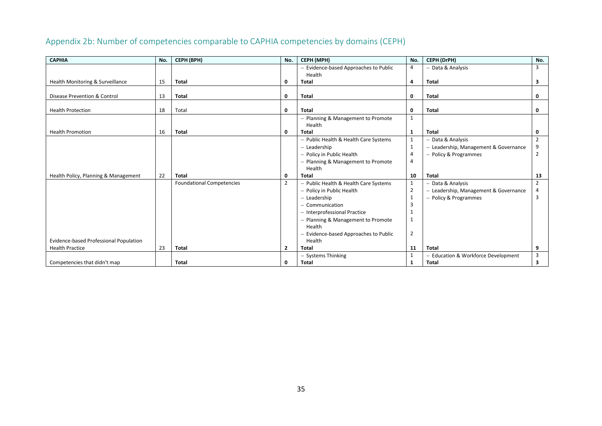#### **CAPHIA No. CEPH (BPH) No. CEPH (MPH) No. CEPH (DrPH) No.** Health Monitoring & Surveillance 15 − Evidence-based Approaches to Public Health 4 − Data & Analysis 3 **Total 0 Total 4 Total 3** Disease Prevention & Control 13 **Total 0 Total 0 Total 0** Health Protection 18 Total **0 Total 0 Total 0** Health Promotion 16 − Planning & Management to Promote Health 1 **Total 0 Total 1 Total 0** Health Policy, Planning & Management 22 − Public Health & Health Care Systems  $\begin{vmatrix} 1 & - \text{ Data & \text{Analysis}} \\ 1 & - \text{Leadership} & \text{Managerment & \text{Government} \end{vmatrix}$  2 − Leadership 1  $\begin{vmatrix} 1 \\ - \end{vmatrix}$  − Leadership, Management & Governance 9<br>- Policy & Programmes 2 − Policy in Public Health 4 − Policy & Programmes 2 − Planning & Management to Promote Health 4 **Total 0 Total 10 Total 13** Evidence-based Professional Population Health Practice 23 Foundational Competencies 2 − Public Health & Health Care Systems 1 − Data & Analysis 2 − Pearlership Management & Governance 4 − Policy in Public Health 2 − Leadership, Management & Governance 4 − Leadership 1  $\begin{vmatrix} 1 \\ 3 \end{vmatrix}$  − Policy & Programmes 3<br>- Communication − Communication 3 − Interprofessional Practice 1 − Planning & Management to Promote Health 1 − Evidence-based Approaches to Public Health 2 **Total 2 Total 11 Total 9**

## Appendix 2b: Number of competencies comparable to CAPHIA competencies by domains (CEPH)

<span id="page-37-0"></span>Competencies that didn't map

− Systems Thinking  $\begin{bmatrix} 1 \\ 1 \end{bmatrix}$  − Education & Workforce Development  $\begin{bmatrix} 3 \\ 3 \end{bmatrix}$ 

**Total 0 Total 1 Total 3**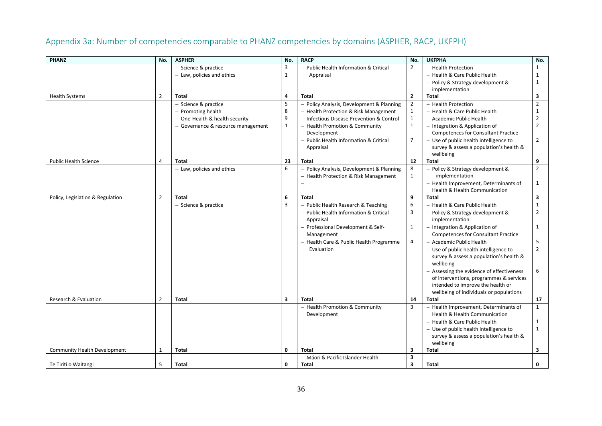# Appendix 3a: Number of competencies comparable to PHANZ competencies by domains (ASPHER, RACP, UKFPH)

<span id="page-38-0"></span>

| <b>PHANZ</b>                     | No.            | <b>ASPHER</b>                      | No.                     | <b>RACP</b>                               | No.                     | <b>UKFPHA</b>                                                                | No.            |
|----------------------------------|----------------|------------------------------------|-------------------------|-------------------------------------------|-------------------------|------------------------------------------------------------------------------|----------------|
|                                  |                | - Science & practice               | 3                       | - Public Health Information & Critical    | $\overline{2}$          | - Health Protection                                                          | $\mathbf{1}$   |
|                                  |                | - Law, policies and ethics         | $\mathbf{1}$            | Appraisal                                 |                         | - Health & Care Public Health                                                | 1              |
|                                  |                |                                    |                         |                                           |                         | - Policy & Strategy development &                                            | 1              |
|                                  |                |                                    |                         |                                           |                         | implementation                                                               |                |
| <b>Health Systems</b>            | $\overline{2}$ | <b>Total</b>                       | 4                       | Total                                     | $\overline{2}$          | <b>Total</b>                                                                 | 3              |
|                                  |                | - Science & practice               | 5                       | - Policy Analysis, Development & Planning | $\overline{2}$          | - Health Protection                                                          | $\overline{2}$ |
|                                  |                | - Promoting health                 | 8                       | - Health Protection & Risk Management     | $\mathbf{1}$            | - Health & Care Public Health                                                | 1              |
|                                  |                | - One-Health & health security     | 9                       | - Infectious Disease Prevention & Control | $\mathbf{1}$            | - Academic Public Health                                                     | 2              |
|                                  |                | - Governance & resource management | $\mathbf{1}$            | - Health Promotion & Community            | $\mathbf{1}$            | - Integration & Application of                                               | $\overline{2}$ |
|                                  |                |                                    |                         | Development                               |                         | <b>Competences for Consultant Practice</b>                                   |                |
|                                  |                |                                    |                         | - Public Health Information & Critical    | $\overline{7}$          | - Use of public health intelligence to                                       | $\overline{2}$ |
|                                  |                |                                    |                         | Appraisal                                 |                         | survey & assess a population's health &                                      |                |
|                                  |                |                                    |                         |                                           |                         | wellbeing                                                                    |                |
| <b>Public Health Science</b>     | $\overline{4}$ | <b>Total</b>                       | 23                      | <b>Total</b>                              | 12                      | <b>Total</b>                                                                 | 9              |
|                                  |                | - Law, policies and ethics         | 6                       | - Policy Analysis, Development & Planning | 8                       | - Policy & Strategy development &                                            | $\overline{2}$ |
|                                  |                |                                    |                         | - Health Protection & Risk Management     | $\mathbf{1}$            | implementation                                                               |                |
|                                  |                |                                    |                         |                                           |                         | - Health Improvement, Determinants of                                        | $\mathbf{1}$   |
|                                  |                |                                    |                         |                                           |                         | <b>Health &amp; Health Communication</b>                                     |                |
| Policy, Legislation & Regulation | $\overline{2}$ | Total                              | 6                       | Total                                     | 9                       | Total                                                                        | 3              |
|                                  |                | - Science & practice               | $\overline{3}$          | - Public Health Research & Teaching       | 6                       | - Health & Care Public Health                                                | $\mathbf{1}$   |
|                                  |                |                                    |                         | - Public Health Information & Critical    | 3                       | - Policy & Strategy development &                                            | 2              |
|                                  |                |                                    |                         | Appraisal                                 |                         | implementation                                                               |                |
|                                  |                |                                    |                         | - Professional Development & Self-        | $\mathbf{1}$            | - Integration & Application of                                               | 1              |
|                                  |                |                                    |                         | Management                                |                         | <b>Competences for Consultant Practice</b>                                   |                |
|                                  |                |                                    |                         | - Health Care & Public Health Programme   | $\overline{4}$          | - Academic Public Health                                                     | 5              |
|                                  |                |                                    |                         | Evaluation                                |                         | - Use of public health intelligence to                                       | $\overline{2}$ |
|                                  |                |                                    |                         |                                           |                         | survey & assess a population's health &                                      |                |
|                                  |                |                                    |                         |                                           |                         | wellbeing                                                                    |                |
|                                  |                |                                    |                         |                                           |                         | - Assessing the evidence of effectiveness                                    | 6              |
|                                  |                |                                    |                         |                                           |                         | of interventions, programmes & services<br>intended to improve the health or |                |
|                                  |                |                                    |                         |                                           |                         | wellbeing of individuals or populations                                      |                |
| <b>Research &amp; Evaluation</b> | $\overline{2}$ | Total                              | $\overline{\mathbf{3}}$ | Total                                     | 14                      | <b>Total</b>                                                                 | 17             |
|                                  |                |                                    |                         | - Health Promotion & Community            | 3                       | - Health Improvement, Determinants of                                        | $\mathbf{1}$   |
|                                  |                |                                    |                         | Development                               |                         | Health & Health Communication                                                |                |
|                                  |                |                                    |                         |                                           |                         | - Health & Care Public Health                                                | 1              |
|                                  |                |                                    |                         |                                           |                         | - Use of public health intelligence to                                       | $\mathbf{1}$   |
|                                  |                |                                    |                         |                                           |                         | survey & assess a population's health &                                      |                |
|                                  |                |                                    |                         |                                           |                         | wellbeing                                                                    |                |
| Community Health Development     | 1              | Total                              | 0                       | <b>Total</b>                              | 3                       | <b>Total</b>                                                                 | 3              |
|                                  |                |                                    |                         | - Máori & Pacific Islander Health         | 3                       |                                                                              |                |
| Te Tiriti o Waitangi             | 5              | Total                              | 0                       | Total                                     | $\overline{\mathbf{3}}$ | <b>Total</b>                                                                 | 0              |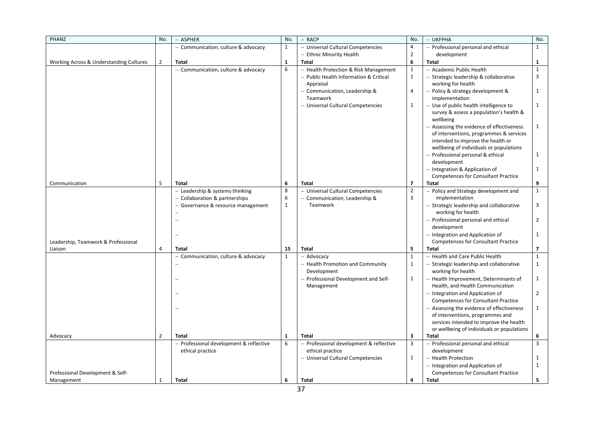| PHANZ                                          | No.            | - ASPHER                                                      | No.          | - RACP                                  | No.            | - UKFPHA                                                                       | No.            |
|------------------------------------------------|----------------|---------------------------------------------------------------|--------------|-----------------------------------------|----------------|--------------------------------------------------------------------------------|----------------|
|                                                |                | - Communication, culture & advocacy                           | $\mathbf{1}$ | - Universal Cultural Competencies       | 4              | - Professional personal and ethical                                            | $\mathbf{1}$   |
|                                                |                |                                                               |              | - Ethnic Minority Health                | $\overline{2}$ | development                                                                    |                |
| Working Across & Understanding Cultures        | $\overline{2}$ | Total                                                         | $\mathbf{1}$ | <b>Total</b>                            | 6              | <b>Total</b>                                                                   | 1              |
|                                                |                | - Communication, culture & advocacy                           | 6            | - Health Protection & Risk Management   | $\mathbf 1$    | - Academic Public Health                                                       | $\mathbf{1}$   |
|                                                |                |                                                               |              | - Public Health Information & Critical  | $\mathbf{1}$   | - Strategic leadership & collaborative                                         | 3              |
|                                                |                |                                                               |              | Appraisal                               |                | working for health                                                             |                |
|                                                |                |                                                               |              | - Communication, Leadership &           | 4              | - Policy & strategy development &                                              | 1              |
|                                                |                |                                                               |              | Teamwork                                |                | implementation                                                                 |                |
|                                                |                |                                                               |              | - Universal Cultural Competencies       | 1              | - Use of public health intelligence to                                         | 1              |
|                                                |                |                                                               |              |                                         |                | survey & assess a population's health &<br>wellbeing                           |                |
|                                                |                |                                                               |              |                                         |                | - Assessing the evidence of effectiveness                                      | $\mathbf{1}$   |
|                                                |                |                                                               |              |                                         |                | of interventions, programmes & services                                        |                |
|                                                |                |                                                               |              |                                         |                | intended to improve the health or                                              |                |
|                                                |                |                                                               |              |                                         |                | wellbeing of individuals or populations                                        |                |
|                                                |                |                                                               |              |                                         |                | - Professional personal & ethical                                              | $\mathbf{1}$   |
|                                                |                |                                                               |              |                                         |                | development                                                                    |                |
|                                                |                |                                                               |              |                                         |                | - Integration & Application of                                                 | $\mathbf{1}$   |
|                                                |                |                                                               |              |                                         |                | <b>Competences for Consultant Practice</b>                                     |                |
| Communication                                  | 5              | <b>Total</b>                                                  | 6            | <b>Total</b>                            | $\overline{7}$ | <b>Total</b>                                                                   | 9              |
|                                                |                | - Leadership & systems thinking                               | $\bf 8$      | - Universal Cultural Competencies       | $\overline{2}$ | - Policy and Strategy development and                                          | $\mathbf{1}$   |
|                                                |                | - Collaboration & partnerships                                | 6            | - Communication, Leadership &           | 3              | implementation                                                                 |                |
|                                                |                | Governance & resource management<br>$\qquad \qquad -$         | $\mathbf{1}$ | Teamwork                                |                | - Strategic leadership and collaborative                                       | 3              |
|                                                |                |                                                               |              |                                         |                | working for health                                                             | $\overline{2}$ |
|                                                |                |                                                               |              |                                         |                | - Professional personal and ethical<br>development                             |                |
|                                                |                |                                                               |              |                                         |                | - Integration and Application of                                               | 1              |
| Leadership, Teamwork & Professional            |                |                                                               |              |                                         |                | <b>Competences for Consultant Practice</b>                                     |                |
| Liaison                                        | $\overline{4}$ | Total                                                         | 15           | <b>Total</b>                            | 5              | Total                                                                          | $\overline{ }$ |
|                                                |                | Communication, culture & advocacy<br>$\overline{\phantom{0}}$ | $\mathbf{1}$ | - Advocacy                              | $\mathbf{1}$   | - Health and Care Public Health                                                | $\mathbf{1}$   |
|                                                |                |                                                               |              | - Health Promotion and Community        | $\mathbf{1}$   | - Strategic leadership and collaborative                                       | $\mathbf{1}$   |
|                                                |                |                                                               |              | Development                             |                | working for health                                                             |                |
|                                                |                |                                                               |              | - Professional Development and Self-    | $\mathbf{1}$   | - Health Improvement, Determinants of                                          | $\mathbf{1}$   |
|                                                |                |                                                               |              | Management                              |                | Health, and Health Communication                                               |                |
|                                                |                |                                                               |              |                                         |                | - Integration and Application of                                               | $\overline{2}$ |
|                                                |                |                                                               |              |                                         |                | <b>Competences for Consultant Practice</b>                                     |                |
|                                                |                |                                                               |              |                                         |                | - Assessing the evidence of effectiveness                                      | $\mathbf{1}$   |
|                                                |                |                                                               |              |                                         |                | of interventions, programmes and                                               |                |
|                                                |                |                                                               |              |                                         |                | services intended to improve the health                                        |                |
|                                                |                |                                                               |              |                                         |                | or wellbeing of individuals or populations                                     |                |
| Advocacy                                       | $\overline{2}$ | <b>Total</b>                                                  | $\mathbf{1}$ | <b>Total</b>                            | 3              | <b>Total</b>                                                                   | 6              |
|                                                |                | $-$ Professional development & reflective                     | 6            | - Professional development & reflective | 3              | - Professional personal and ethical                                            | 3              |
|                                                |                | ethical practice                                              |              | ethical practice                        | $\mathbf{1}$   | development                                                                    | 1              |
|                                                |                |                                                               |              | - Universal Cultural Competencies       |                | - Health Protection                                                            |                |
|                                                |                |                                                               |              |                                         |                | - Integration and Application of<br><b>Competences for Consultant Practice</b> | $\mathbf{1}$   |
| Professional Development & Self-<br>Management | 1              | Total                                                         | 6            | <b>Total</b>                            | 4              | Total                                                                          | 5.             |
|                                                |                |                                                               |              |                                         |                |                                                                                |                |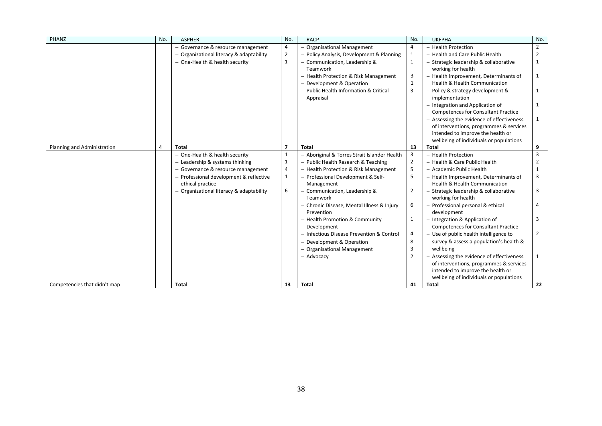| PHANZ                        | No. | - ASPHER                                 | No.            | $-$ RACP                                     | No.            | - UKFPHA                                   | No.            |
|------------------------------|-----|------------------------------------------|----------------|----------------------------------------------|----------------|--------------------------------------------|----------------|
|                              |     | - Governance & resource management       | 4              | <b>Organisational Management</b>             | 4              | - Health Protection                        | $\overline{2}$ |
|                              |     | - Organizational literacy & adaptability | $\overline{2}$ | - Policy Analysis, Development & Planning    | $\mathbf{1}$   | - Health and Care Public Health            | $\overline{2}$ |
|                              |     | - One-Health & health security           | 1              | Communication, Leadership &                  | $\mathbf 1$    | - Strategic leadership & collaborative     | 1              |
|                              |     |                                          |                | <b>Teamwork</b>                              |                | working for health                         |                |
|                              |     |                                          |                | - Health Protection & Risk Management        | 3              | - Health Improvement, Determinants of      | $\mathbf{1}$   |
|                              |     |                                          |                | - Development & Operation                    | $\mathbf{1}$   | <b>Health &amp; Health Communication</b>   |                |
|                              |     |                                          |                | - Public Health Information & Critical       | 3              | - Policy & strategy development &          | 1              |
|                              |     |                                          |                | Appraisal                                    |                | implementation                             |                |
|                              |     |                                          |                |                                              |                | - Integration and Application of           | $\mathbf{1}$   |
|                              |     |                                          |                |                                              |                | <b>Competences for Consultant Practice</b> |                |
|                              |     |                                          |                |                                              |                | - Assessing the evidence of effectiveness  | 1              |
|                              |     |                                          |                |                                              |                | of interventions, programmes & services    |                |
|                              |     |                                          |                |                                              |                | intended to improve the health or          |                |
|                              |     |                                          |                |                                              |                | wellbeing of individuals or populations    |                |
| Planning and Administration  | 4   | Total                                    | $\overline{7}$ | <b>Total</b>                                 | 13             | <b>Total</b>                               | 9              |
|                              |     | - One-Health & health security           | 1              | - Aboriginal & Torres Strait Islander Health | 3              | - Health Protection                        | 3              |
|                              |     | - Leadership & systems thinking          | 1              | - Public Health Research & Teaching          | $\overline{2}$ | - Health & Care Public Health              | 2              |
|                              |     | - Governance & resource management       | 4              | - Health Protection & Risk Management        | 5              | - Academic Public Health                   |                |
|                              |     | - Professional development & reflective  | 1              | - Professional Development & Self-           | 5              | - Health Improvement, Determinants of      | 3              |
|                              |     | ethical practice                         |                | Management                                   |                | <b>Health &amp; Health Communication</b>   |                |
|                              |     | - Organizational literacy & adaptability | 6              | - Communication, Leadership &                | $\overline{2}$ | - Strategic leadership & collaborative     | 3              |
|                              |     |                                          |                | <b>Teamwork</b>                              |                | working for health                         |                |
|                              |     |                                          |                | Chronic Disease, Mental Illness & Injury     | 6              | - Professional personal & ethical          | 4              |
|                              |     |                                          |                | Prevention                                   |                | development                                |                |
|                              |     |                                          |                | - Health Promotion & Community               | $\mathbf 1$    | - Integration & Application of             | 3              |
|                              |     |                                          |                | Development                                  |                | <b>Competences for Consultant Practice</b> |                |
|                              |     |                                          |                | Infectious Disease Prevention & Control      | 4              | - Use of public health intelligence to     | 2              |
|                              |     |                                          |                | - Development & Operation                    | 8              | survey & assess a population's health &    |                |
|                              |     |                                          |                | - Organisational Management                  | 3              | wellbeing                                  |                |
|                              |     |                                          |                | - Advocacy                                   | $\overline{2}$ | - Assessing the evidence of effectiveness  | 1              |
|                              |     |                                          |                |                                              |                | of interventions, programmes & services    |                |
|                              |     |                                          |                |                                              |                | intended to improve the health or          |                |
|                              |     |                                          |                |                                              |                | wellbeing of individuals or populations    |                |
| Competencies that didn't map |     | <b>Total</b>                             | 13             | <b>Total</b>                                 | 41             | <b>Total</b>                               | 22             |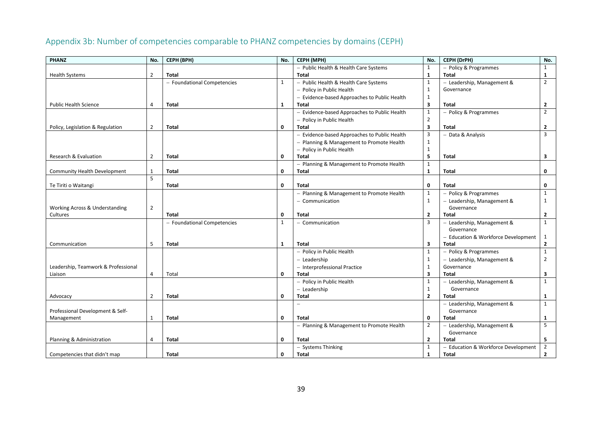<span id="page-41-0"></span>

| PHANZ                               | No.            | CEPH (BPH)                  | No.          | CEPH (MPH)                                   | No.                     | CEPH (DrPH)                         | No.            |
|-------------------------------------|----------------|-----------------------------|--------------|----------------------------------------------|-------------------------|-------------------------------------|----------------|
|                                     |                |                             |              | - Public Health & Health Care Systems        | $\mathbf{1}$            | - Policy & Programmes               | $\mathbf{1}$   |
| <b>Health Systems</b>               | $\overline{2}$ | Total                       |              | <b>Total</b>                                 | $\mathbf{1}$            | <b>Total</b>                        | 1              |
|                                     |                | - Foundational Competencies | 1            | - Public Health & Health Care Systems        | $\mathbf{1}$            | - Leadership, Management &          | $\overline{2}$ |
|                                     |                |                             |              | - Policy in Public Health                    | $\mathbf{1}$            | Governance                          |                |
|                                     |                |                             |              | - Evidence-based Approaches to Public Health | $\mathbf{1}$            |                                     |                |
| <b>Public Health Science</b>        | 4              | Total                       | 1            | Total                                        | 3                       | Total                               | $\overline{2}$ |
|                                     |                |                             |              | - Evidence-based Approaches to Public Health | $\mathbf 1$             | - Policy & Programmes               | $\overline{2}$ |
|                                     |                |                             |              | - Policy in Public Health                    | $\overline{2}$          |                                     |                |
| Policy, Legislation & Regulation    | 2              | Total                       | $\mathbf 0$  | Total                                        | 3                       | <b>Total</b>                        | $\overline{2}$ |
|                                     |                |                             |              | - Evidence-based Approaches to Public Health | 3                       | - Data & Analysis                   | $\overline{3}$ |
|                                     |                |                             |              | - Planning & Management to Promote Health    | $\mathbf{1}$            |                                     |                |
|                                     |                |                             |              | - Policy in Public Health                    | $\mathbf{1}$            |                                     |                |
| Research & Evaluation               | $\overline{2}$ | <b>Total</b>                | 0            | <b>Total</b>                                 | 5                       | <b>Total</b>                        | 3              |
|                                     |                |                             |              | - Planning & Management to Promote Health    | $\mathbf{1}$            |                                     |                |
| <b>Community Health Development</b> | $\mathbf{1}$   | Total                       | $\mathbf 0$  | Total                                        | $\mathbf{1}$            | Total                               | 0              |
|                                     | 5              |                             |              |                                              |                         |                                     |                |
| Te Tiriti o Waitangi                |                | <b>Total</b>                | $\mathbf 0$  | <b>Total</b>                                 | 0                       | <b>Total</b>                        | 0              |
|                                     |                |                             |              | - Planning & Management to Promote Health    | $\mathbf{1}$            | - Policy & Programmes               | $\mathbf{1}$   |
|                                     |                |                             |              | - Communication                              | $\mathbf{1}$            | - Leadership, Management &          | 1              |
| Working Across & Understanding      | $\overline{2}$ |                             |              |                                              |                         | Governance                          |                |
| Cultures                            |                | <b>Total</b>                | 0            | Total                                        | $\overline{2}$          | Total                               | $\overline{2}$ |
|                                     |                | - Foundational Competencies | $\mathbf{1}$ | - Communication                              | 3                       | - Leadership, Management &          | 1              |
|                                     |                |                             |              |                                              |                         | Governance                          |                |
|                                     |                |                             |              |                                              |                         | - Education & Workforce Development | 1              |
| Communication                       | 5              | <b>Total</b>                | $\mathbf{1}$ | <b>Total</b>                                 | 3                       | <b>Total</b>                        | $\overline{2}$ |
|                                     |                |                             |              | - Policy in Public Health                    | $\mathbf{1}$            | - Policy & Programmes               | $\mathbf{1}$   |
|                                     |                |                             |              | - Leadership                                 | $\mathbf{1}$            | - Leadership, Management &          | $\overline{2}$ |
| Leadership, Teamwork & Professional |                |                             |              | - Interprofessional Practice                 | $\mathbf{1}$            | Governance                          |                |
| Liaison                             | $\overline{4}$ | Total                       | 0            | <b>Total</b>                                 | $\overline{\mathbf{3}}$ | <b>Total</b>                        | 3              |
|                                     |                |                             |              | - Policy in Public Health                    | $\mathbf{1}$            | - Leadership, Management &          | $\mathbf{1}$   |
|                                     |                |                             |              | - Leadership                                 | $\mathbf{1}$            | Governance                          |                |
| Advocacy                            | 2              | Total                       | 0            | <b>Total</b>                                 | $\overline{2}$          | <b>Total</b>                        | 1              |
|                                     |                |                             |              |                                              |                         | - Leadership, Management &          | $\mathbf{1}$   |
| Professional Development & Self-    |                |                             |              |                                              |                         | Governance                          |                |
| Management                          | 1              | <b>Total</b>                | $\mathbf 0$  | <b>Total</b>                                 | 0                       | <b>Total</b>                        | 1              |
|                                     |                |                             |              | - Planning & Management to Promote Health    | $\overline{2}$          | - Leadership, Management &          | 5              |
|                                     |                |                             |              |                                              |                         | Governance                          |                |
| Planning & Administration           | 4              | <b>Total</b>                | $\mathbf 0$  | <b>Total</b>                                 | $\mathbf{2}$            | <b>Total</b>                        | 5              |
|                                     |                |                             |              | - Systems Thinking                           | $\mathbf{1}$            | - Education & Workforce Development | $\overline{2}$ |
| Competencies that didn't map        |                | Total                       | 0            | Total                                        | $\mathbf{1}$            | Total                               | $\overline{2}$ |

# Appendix 3b: Number of competencies comparable to PHANZ competencies by domains (CEPH)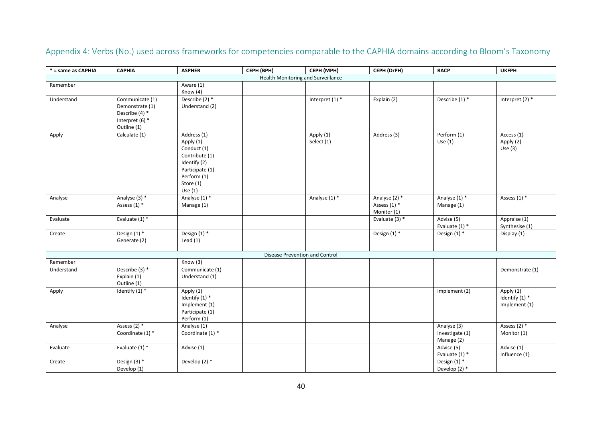<span id="page-42-0"></span>

| * = same as CAPHIA | <b>CAPHIA</b>                                        | <b>ASPHER</b>                                                                                                                         | CEPH (BPH)                            | CEPH (MPH)              | CEPH (DrPH)                                  | <b>RACP</b>                                  | <b>UKFPH</b>                                 |
|--------------------|------------------------------------------------------|---------------------------------------------------------------------------------------------------------------------------------------|---------------------------------------|-------------------------|----------------------------------------------|----------------------------------------------|----------------------------------------------|
|                    |                                                      |                                                                                                                                       | Health Monitoring and Surveillance    |                         |                                              |                                              |                                              |
| Remember           |                                                      | Aware (1)                                                                                                                             |                                       |                         |                                              |                                              |                                              |
|                    |                                                      | Know (4)                                                                                                                              |                                       |                         |                                              |                                              |                                              |
| Understand         | Communicate (1)<br>Demonstrate (1)<br>Describe (4) * | Describe $(2)$ *<br>Understand (2)                                                                                                    |                                       | Interpret $(1)$ *       | Explain (2)                                  | Describe $(1)$ *                             | Interpret $(2)$ *                            |
|                    | Interpret (6) *<br>Outline (1)                       |                                                                                                                                       |                                       |                         |                                              |                                              |                                              |
| Apply              | Calculate (1)                                        | Address (1)<br>Apply (1)<br>Conduct (1)<br>Contribute (1)<br>Identify (2)<br>Participate (1)<br>Perform (1)<br>Store (1)<br>Use $(1)$ |                                       | Apply (1)<br>Select (1) | Address (3)                                  | Perform (1)<br>Use $(1)$                     | Access (1)<br>Apply (2)<br>Use $(3)$         |
| Analyse            | Analyse (3) *<br>Assess $(1)$ *                      | Analyse (1) *<br>Manage (1)                                                                                                           |                                       | Analyse (1) *           | Analyse (2) *<br>Assess (1) *<br>Monitor (1) | Analyse (1) *<br>Manage (1)                  | Assess $(1)$ *                               |
| Evaluate           | Evaluate $(1)$ *                                     |                                                                                                                                       |                                       |                         | Evaluate $(3)$ *                             | Advise (5)<br>Evaluate (1) *                 | Appraise (1)<br>Synthesise (1)               |
| Create             | Design $(1)$ *<br>Generate (2)                       | Design $(1)$ *<br>Lead $(1)$                                                                                                          |                                       |                         | Design (1) *                                 | Design $(1)$ *                               | Display (1)                                  |
|                    |                                                      |                                                                                                                                       | <b>Disease Prevention and Control</b> |                         |                                              |                                              |                                              |
| Remember           |                                                      | Know (3)                                                                                                                              |                                       |                         |                                              |                                              |                                              |
| Understand         | Describe $(3)$ *<br>Explain (1)<br>Outline (1)       | Communicate (1)<br>Understand (1)                                                                                                     |                                       |                         |                                              |                                              | Demonstrate (1)                              |
| Apply              | Identify $(1)$ *                                     | Apply (1)<br>Identify (1) *<br>Implement (1)<br>Participate (1)<br>Perform (1)                                                        |                                       |                         |                                              | Implement (2)                                | Apply (1)<br>Identify (1) *<br>Implement (1) |
| Analyse            | Assess $(2)$ *<br>Coordinate (1) *                   | Analyse (1)<br>Coordinate (1) *                                                                                                       |                                       |                         |                                              | Analyse (3)<br>Investigate (1)<br>Manage (2) | Assess $(2)$ *<br>Monitor (1)                |
| Evaluate           | Evaluate $(1)$ *                                     | Advise (1)                                                                                                                            |                                       |                         |                                              | Advise (5)<br>Evaluate (1) *                 | Advise (1)<br>Influence (1)                  |
| Create             | Design (3) *<br>Develop (1)                          | Develop $(2)$ *                                                                                                                       |                                       |                         |                                              | Design (1) *<br>Develop (2) *                |                                              |

Appendix 4: Verbs (No.) used across frameworks for competencies comparable to the CAPHIA domains according to Bloom's Taxonomy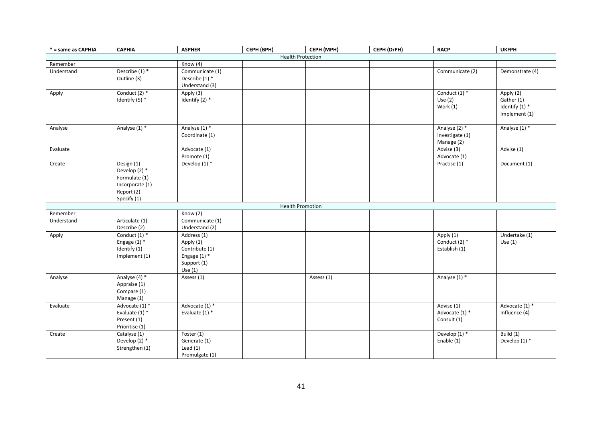| * = same as CAPHIA | <b>CAPHIA</b>                                                                                | <b>ASPHER</b>                                                                            | CEPH (BPH)               | CEPH (MPH) | CEPH (DrPH) | <b>RACP</b>                                    | <b>UKFPH</b>                                                 |
|--------------------|----------------------------------------------------------------------------------------------|------------------------------------------------------------------------------------------|--------------------------|------------|-------------|------------------------------------------------|--------------------------------------------------------------|
|                    |                                                                                              |                                                                                          | <b>Health Protection</b> |            |             |                                                |                                                              |
| Remember           |                                                                                              | Know (4)                                                                                 |                          |            |             |                                                |                                                              |
| Understand         | Describe $(1)$ *<br>Outline (3)                                                              | Communicate (1)<br>Describe $(1)$ *<br>Understand (3)                                    |                          |            |             | Communicate (2)                                | Demonstrate (4)                                              |
| Apply              | Conduct $(2)$ *<br>Identify (5) *                                                            | Apply (3)<br>Identify (2) *                                                              |                          |            |             | Conduct $(1)$ *<br>Use $(2)$<br>Work $(1)$     | Apply (2)<br>Gather (1)<br>Identify $(1)$ *<br>Implement (1) |
| Analyse            | Analyse (1) *                                                                                | Analyse (1) *<br>Coordinate (1)                                                          |                          |            |             | Analyse (2) *<br>Investigate (1)<br>Manage (2) | Analyse (1) *                                                |
| Evaluate           |                                                                                              | Advocate (1)<br>Promote (1)                                                              |                          |            |             | Advise (3)<br>Advocate (1)                     | Advise (1)                                                   |
| Create             | Design (1)<br>Develop (2) *<br>Formulate (1)<br>Incorporate (1)<br>Report (2)<br>Specify (1) | Develop $(1)$ *                                                                          |                          |            |             | Practise (1)                                   | Document (1)                                                 |
|                    |                                                                                              |                                                                                          | <b>Health Promotion</b>  |            |             |                                                |                                                              |
| Remember           |                                                                                              | Know (2)                                                                                 |                          |            |             |                                                |                                                              |
| Understand         | Articulate (1)<br>Describe (2)                                                               | Communicate (1)<br>Understand (2)                                                        |                          |            |             |                                                |                                                              |
| Apply              | Conduct $(1)$ *<br>Engage $(1)$ *<br>Identify (1)<br>Implement (1)                           | Address (1)<br>Apply (1)<br>Contribute (1)<br>Engage $(1)$ *<br>Support (1)<br>Use $(1)$ |                          |            |             | Apply (1)<br>Conduct $(2)$ *<br>Establish (1)  | Undertake (1)<br>Use $(1)$                                   |
| Analyse            | Analyse (4) *<br>Appraise (1)<br>Compare (1)<br>Manage (1)                                   | Assess (1)                                                                               |                          | Assess (1) |             | Analyse (1) *                                  |                                                              |
| Evaluate           | Advocate (1) *<br>Evaluate $(1)$ *<br>Present (1)<br>Prioritise (1)                          | Advocate (1) *<br>Evaluate $(1)$ *                                                       |                          |            |             | Advise (1)<br>Advocate (1) *<br>Consult (1)    | Advocate (1) *<br>Influence (4)                              |
| Create             | Catalyse (1)<br>Develop (2) *<br>Strengthen (1)                                              | Foster (1)<br>Generate (1)<br>Lead $(1)$<br>Promulgate (1)                               |                          |            |             | Develop (1) *<br>Enable (1)                    | Build $(1)$<br>Develop (1) *                                 |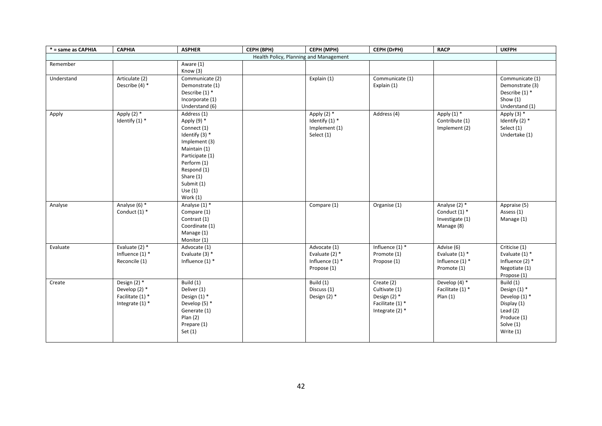| * = same as CAPHIA | <b>CAPHIA</b>                                                            | <b>ASPHER</b>                                                                                                                                                                                         | CEPH (BPH)                             | CEPH (MPH)                                                           | CEPH (DrPH)                                                                            | <b>RACP</b>                                                        | <b>UKFPH</b>                                                                                                       |
|--------------------|--------------------------------------------------------------------------|-------------------------------------------------------------------------------------------------------------------------------------------------------------------------------------------------------|----------------------------------------|----------------------------------------------------------------------|----------------------------------------------------------------------------------------|--------------------------------------------------------------------|--------------------------------------------------------------------------------------------------------------------|
|                    |                                                                          |                                                                                                                                                                                                       | Health Policy, Planning and Management |                                                                      |                                                                                        |                                                                    |                                                                                                                    |
| Remember           |                                                                          | Aware (1)<br>Know (3)                                                                                                                                                                                 |                                        |                                                                      |                                                                                        |                                                                    |                                                                                                                    |
| Understand         | Articulate (2)<br>Describe (4) *                                         | Communicate (2)<br>Demonstrate (1)<br>Describe (1) *<br>Incorporate (1)<br>Understand (6)                                                                                                             |                                        | Explain (1)                                                          | Communicate (1)<br>Explain (1)                                                         |                                                                    | Communicate (1)<br>Demonstrate (3)<br>Describe $(1)$ *<br>Show $(1)$<br>Understand (1)                             |
| Apply              | Apply $(2)$ *<br>Identify $(1)$ *                                        | Address (1)<br>Apply (9) *<br>Connect (1)<br>Identify $(3)$ *<br>Implement (3)<br>Maintain (1)<br>Participate (1)<br>Perform (1)<br>Respond (1)<br>Share (1)<br>Submit (1)<br>Use $(1)$<br>Work $(1)$ |                                        | Apply $(2)$ *<br>Identify $(1)$ *<br>Implement (1)<br>Select (1)     | Address (4)                                                                            | Apply $(1)$ *<br>Contribute (1)<br>Implement (2)                   | Apply $(3)$ *<br>Identify $(2)$ *<br>Select (1)<br>Undertake (1)                                                   |
| Analyse            | Analyse (6) *<br>Conduct $(1)$ *                                         | Analyse (1) *<br>Compare (1)<br>Contrast (1)<br>Coordinate (1)<br>Manage (1)<br>Monitor (1)                                                                                                           |                                        | Compare (1)                                                          | Organise (1)                                                                           | Analyse (2) *<br>Conduct $(1)$ *<br>Investigate (1)<br>Manage (8)  | Appraise (5)<br>Assess (1)<br>Manage (1)                                                                           |
| Evaluate           | Evaluate $(2)$ *<br>Influence $(1)$ *<br>Reconcile (1)                   | Advocate (1)<br>Evaluate $(3)$ *<br>Influence $(1)$ *                                                                                                                                                 |                                        | Advocate (1)<br>Evaluate $(2)$ *<br>Influence $(1)$ *<br>Propose (1) | Influence $(1)$ *<br>Promote (1)<br>Propose (1)                                        | Advise (6)<br>Evaluate $(1)$ *<br>Influence $(1)$ *<br>Promote (1) | $\overline{\text{Criticise (1)}}$<br>Evaluate $(1)$ *<br>Influence $(2)$ *<br>Negotiate (1)<br>Propose (1)         |
| Create             | Design (2) *<br>Develop $(2)$ *<br>Facilitate (1) *<br>Integrate $(1)$ * | Build (1)<br>Deliver (1)<br>Design $(1)$ *<br>Develop $(5)$ *<br>Generate (1)<br>Plan(2)<br>Prepare (1)<br>Set $(1)$                                                                                  |                                        | Build (1)<br>Discuss (1)<br>Design $(2)$ *                           | Create (2)<br>Cultivate (1)<br>Design $(2)$ *<br>Facilitate (1) *<br>Integrate $(2)$ * | Develop (4) *<br>Facilitate (1) *<br>Plan(1)                       | Build (1)<br>Design $(1)$ *<br>Develop (1) *<br>Display (1)<br>Lead $(2)$<br>Produce (1)<br>Solve (1)<br>Write (1) |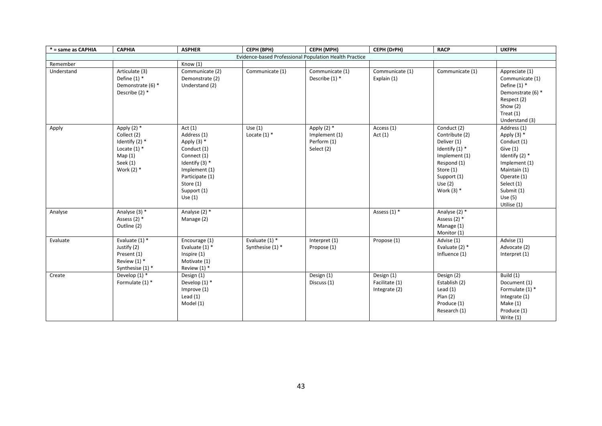| * = same as CAPHIA                                     | <b>CAPHIA</b>                                                                                            | <b>ASPHER</b>                                                                                                                                                            | CEPH (BPH)                           | CEPH (MPH)                                                  | CEPH (DrPH)                                   | <b>RACP</b>                                                                                                                                               | <b>UKFPH</b>                                                                                                                                                                          |
|--------------------------------------------------------|----------------------------------------------------------------------------------------------------------|--------------------------------------------------------------------------------------------------------------------------------------------------------------------------|--------------------------------------|-------------------------------------------------------------|-----------------------------------------------|-----------------------------------------------------------------------------------------------------------------------------------------------------------|---------------------------------------------------------------------------------------------------------------------------------------------------------------------------------------|
| Evidence-based Professional Population Health Practice |                                                                                                          |                                                                                                                                                                          |                                      |                                                             |                                               |                                                                                                                                                           |                                                                                                                                                                                       |
| Remember                                               |                                                                                                          | Know $(1)$                                                                                                                                                               |                                      |                                                             |                                               |                                                                                                                                                           |                                                                                                                                                                                       |
| Understand                                             | Articulate (3)<br>Define $(1)$ *<br>Demonstrate (6) *<br>Describe (2) *                                  | Communicate (2)<br>Demonstrate (2)<br>Understand (2)                                                                                                                     | Communicate (1)                      | Communicate (1)<br>Describe (1) *                           | Communicate (1)<br>Explain (1)                | Communicate (1)                                                                                                                                           | Appreciate (1)<br>Communicate (1)<br>Define $(1)$ *<br>Demonstrate (6) *<br>Respect (2)<br>Show $(2)$<br>Treat $(1)$<br>Understand (3)                                                |
| Apply                                                  | Apply $(2)$ *<br>Collect (2)<br>Identify $(2)$ *<br>Locate $(1)$ *<br>Map(1)<br>Seek (1)<br>Work $(2)$ * | Act $(1)$<br>Address (1)<br>Apply $(3)$ *<br>Conduct (1)<br>Connect (1)<br>Identify $(3)$ *<br>Implement (1)<br>Participate (1)<br>Store (1)<br>Support (1)<br>Use $(1)$ | Use(1)<br>Locate $(1)$ *             | Apply $(2)$ *<br>Implement (1)<br>Perform (1)<br>Select (2) | Access (1)<br>Act $(1)$                       | Conduct (2)<br>Contribute (2)<br>Deliver (1)<br>Identify $(1)$ *<br>Implement (1)<br>Respond (1)<br>Store (1)<br>Support (1)<br>Use $(2)$<br>Work $(3)$ * | Address (1)<br>Apply $(3)$ *<br>Conduct (1)<br>Give $(1)$<br>Identify $(2)$ *<br>Implement (1)<br>Maintain (1)<br>Operate (1)<br>Select (1)<br>Submit (1)<br>Use $(5)$<br>Utilise (1) |
| Analyse                                                | Analyse (3) *<br>Assess $(2)$ *<br>Outline (2)                                                           | Analyse (2) *<br>Manage (2)                                                                                                                                              |                                      |                                                             | Assess $(1)$ *                                | Analyse (2) *<br>Assess $(2)$ *<br>Manage (1)<br>Monitor (1)                                                                                              |                                                                                                                                                                                       |
| Evaluate                                               | Evaluate $(1)$ *<br>Justify (2)<br>Present (1)<br>Review $(1)$ *<br>Synthesise (1) *                     | Encourage (1)<br>Evaluate $(1)$ *<br>Inspire (1)<br>Motivate (1)<br>Review $(1)$ *                                                                                       | Evaluate $(1)$ *<br>Synthesise (1) * | Interpret (1)<br>Propose (1)                                | Propose (1)                                   | Advise (1)<br>Evaluate $(2)$ *<br>Influence (1)                                                                                                           | Advise (1)<br>Advocate (2)<br>Interpret (1)                                                                                                                                           |
| Create                                                 | Develop $(1)$ *<br>Formulate $(1)$ *                                                                     | Design (1)<br>Develop $(1)$ *<br>Improve (1)<br>Lead $(1)$<br>Model (1)                                                                                                  |                                      | Design (1)<br>Discuss (1)                                   | Design (1)<br>Facilitate (1)<br>Integrate (2) | Design (2)<br>Establish (2)<br>Lead $(1)$<br>Plan(2)<br>Produce (1)<br>Research (1)                                                                       | Build (1)<br>Document (1)<br>Formulate $(1)$ *<br>Integrate (1)<br>Make $(1)$<br>Produce (1)<br>Write (1)                                                                             |